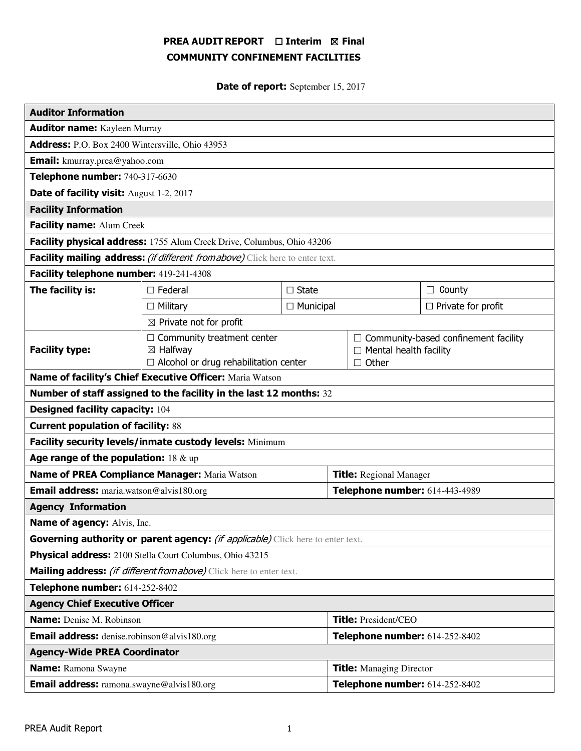# PREA AUDIT REPORT □ Interim 図 Final COMMUNITY CONFINEMENT FACILITIES

Date of report: September 15, 2017

| <b>Auditor Information</b>                                                      |                                                                                                          |                                |                                 |                                                                              |                           |
|---------------------------------------------------------------------------------|----------------------------------------------------------------------------------------------------------|--------------------------------|---------------------------------|------------------------------------------------------------------------------|---------------------------|
| <b>Auditor name:</b> Kayleen Murray                                             |                                                                                                          |                                |                                 |                                                                              |                           |
| Address: P.O. Box 2400 Wintersville, Ohio 43953                                 |                                                                                                          |                                |                                 |                                                                              |                           |
| <b>Email:</b> kmurray.prea@yahoo.com                                            |                                                                                                          |                                |                                 |                                                                              |                           |
| Telephone number: 740-317-6630                                                  |                                                                                                          |                                |                                 |                                                                              |                           |
| Date of facility visit: August 1-2, 2017                                        |                                                                                                          |                                |                                 |                                                                              |                           |
| <b>Facility Information</b>                                                     |                                                                                                          |                                |                                 |                                                                              |                           |
| Facility name: Alum Creek                                                       |                                                                                                          |                                |                                 |                                                                              |                           |
| Facility physical address: 1755 Alum Creek Drive, Columbus, Ohio 43206          |                                                                                                          |                                |                                 |                                                                              |                           |
| Facility mailing address: (if different from above) Click here to enter text.   |                                                                                                          |                                |                                 |                                                                              |                           |
| Facility telephone number: 419-241-4308                                         |                                                                                                          |                                |                                 |                                                                              |                           |
| The facility is:                                                                | $\square$ Federal<br>$\square$ State                                                                     |                                |                                 | $\Box$ County                                                                |                           |
|                                                                                 | $\Box$ Military                                                                                          | $\Box$ Municipal               |                                 |                                                                              | $\Box$ Private for profit |
| $\boxtimes$ Private not for profit                                              |                                                                                                          |                                |                                 |                                                                              |                           |
| <b>Facility type:</b>                                                           | $\Box$ Community treatment center<br>$\boxtimes$ Halfway<br>$\Box$ Alcohol or drug rehabilitation center |                                |                                 | Community-based confinement facility<br>Mental health facility<br>Other<br>П |                           |
| Name of facility's Chief Executive Officer: Maria Watson                        |                                                                                                          |                                |                                 |                                                                              |                           |
| Number of staff assigned to the facility in the last 12 months: 32              |                                                                                                          |                                |                                 |                                                                              |                           |
| <b>Designed facility capacity: 104</b>                                          |                                                                                                          |                                |                                 |                                                                              |                           |
| <b>Current population of facility: 88</b>                                       |                                                                                                          |                                |                                 |                                                                              |                           |
| Facility security levels/inmate custody levels: Minimum                         |                                                                                                          |                                |                                 |                                                                              |                           |
| Age range of the population: $18 \& up$                                         |                                                                                                          |                                |                                 |                                                                              |                           |
| Name of PREA Compliance Manager: Maria Watson                                   |                                                                                                          |                                | <b>Title:</b> Regional Manager  |                                                                              |                           |
| <b>Email address:</b> maria.watson@alvis180.org                                 |                                                                                                          |                                | Telephone number: 614-443-4989  |                                                                              |                           |
| <b>Agency Information</b>                                                       |                                                                                                          |                                |                                 |                                                                              |                           |
| Name of agency: Alvis, Inc.                                                     |                                                                                                          |                                |                                 |                                                                              |                           |
| Governing authority or parent agency: (if applicable) Click here to enter text. |                                                                                                          |                                |                                 |                                                                              |                           |
| Physical address: 2100 Stella Court Columbus, Ohio 43215                        |                                                                                                          |                                |                                 |                                                                              |                           |
| Mailing address: <i>(if different from above)</i> Click here to enter text.     |                                                                                                          |                                |                                 |                                                                              |                           |
| Telephone number: 614-252-8402                                                  |                                                                                                          |                                |                                 |                                                                              |                           |
| <b>Agency Chief Executive Officer</b>                                           |                                                                                                          |                                |                                 |                                                                              |                           |
| Name: Denise M. Robinson                                                        |                                                                                                          |                                | <b>Title: President/CEO</b>     |                                                                              |                           |
| <b>Email address:</b> denise.robinson@alvis180.org                              |                                                                                                          |                                | Telephone number: 614-252-8402  |                                                                              |                           |
| <b>Agency-Wide PREA Coordinator</b>                                             |                                                                                                          |                                |                                 |                                                                              |                           |
| <b>Name:</b> Ramona Swayne                                                      |                                                                                                          |                                | <b>Title:</b> Managing Director |                                                                              |                           |
| <b>Email address:</b> ramona.swayne@alvis180.org                                |                                                                                                          | Telephone number: 614-252-8402 |                                 |                                                                              |                           |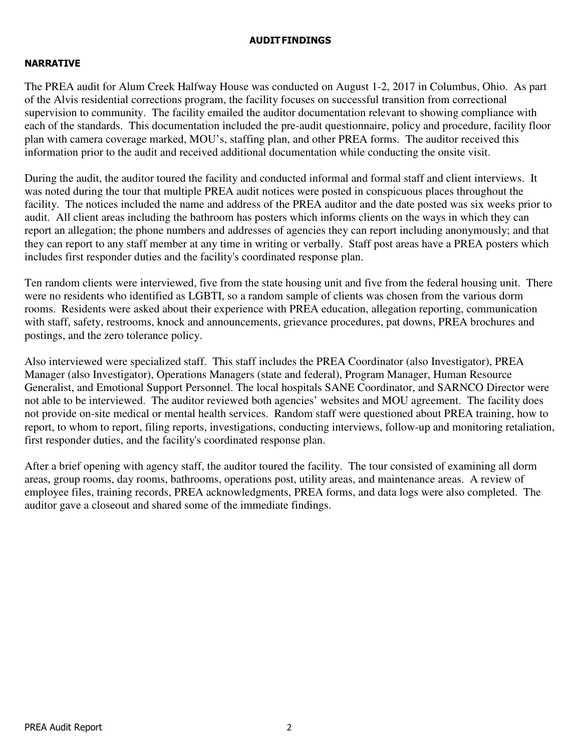## AUDIT FINDINGS

## NARRATIVE

The PREA audit for Alum Creek Halfway House was conducted on August 1-2, 2017 in Columbus, Ohio. As part of the Alvis residential corrections program, the facility focuses on successful transition from correctional supervision to community. The facility emailed the auditor documentation relevant to showing compliance with each of the standards. This documentation included the pre-audit questionnaire, policy and procedure, facility floor plan with camera coverage marked, MOU's, staffing plan, and other PREA forms. The auditor received this information prior to the audit and received additional documentation while conducting the onsite visit.

During the audit, the auditor toured the facility and conducted informal and formal staff and client interviews. It was noted during the tour that multiple PREA audit notices were posted in conspicuous places throughout the facility. The notices included the name and address of the PREA auditor and the date posted was six weeks prior to audit. All client areas including the bathroom has posters which informs clients on the ways in which they can report an allegation; the phone numbers and addresses of agencies they can report including anonymously; and that they can report to any staff member at any time in writing or verbally. Staff post areas have a PREA posters which includes first responder duties and the facility's coordinated response plan.

Ten random clients were interviewed, five from the state housing unit and five from the federal housing unit. There were no residents who identified as LGBTI, so a random sample of clients was chosen from the various dorm rooms. Residents were asked about their experience with PREA education, allegation reporting, communication with staff, safety, restrooms, knock and announcements, grievance procedures, pat downs, PREA brochures and postings, and the zero tolerance policy.

Also interviewed were specialized staff. This staff includes the PREA Coordinator (also Investigator), PREA Manager (also Investigator), Operations Managers (state and federal), Program Manager, Human Resource Generalist, and Emotional Support Personnel. The local hospitals SANE Coordinator, and SARNCO Director were not able to be interviewed. The auditor reviewed both agencies' websites and MOU agreement. The facility does not provide on-site medical or mental health services. Random staff were questioned about PREA training, how to report, to whom to report, filing reports, investigations, conducting interviews, follow-up and monitoring retaliation, first responder duties, and the facility's coordinated response plan.

After a brief opening with agency staff, the auditor toured the facility. The tour consisted of examining all dorm areas, group rooms, day rooms, bathrooms, operations post, utility areas, and maintenance areas. A review of employee files, training records, PREA acknowledgments, PREA forms, and data logs were also completed. The auditor gave a closeout and shared some of the immediate findings.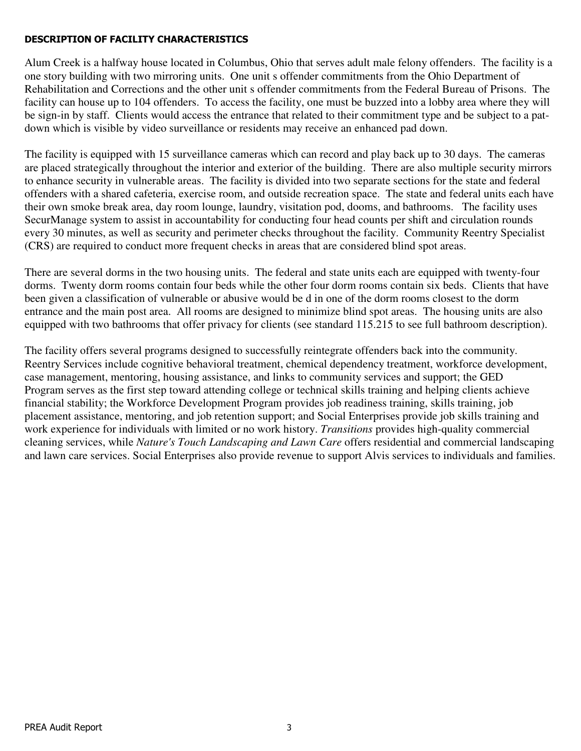## DESCRIPTION OF FACILITY CHARACTERISTICS

Alum Creek is a halfway house located in Columbus, Ohio that serves adult male felony offenders. The facility is a one story building with two mirroring units. One unit s offender commitments from the Ohio Department of Rehabilitation and Corrections and the other unit s offender commitments from the Federal Bureau of Prisons. The facility can house up to 104 offenders. To access the facility, one must be buzzed into a lobby area where they will be sign-in by staff. Clients would access the entrance that related to their commitment type and be subject to a patdown which is visible by video surveillance or residents may receive an enhanced pad down.

The facility is equipped with 15 surveillance cameras which can record and play back up to 30 days. The cameras are placed strategically throughout the interior and exterior of the building. There are also multiple security mirrors to enhance security in vulnerable areas. The facility is divided into two separate sections for the state and federal offenders with a shared cafeteria, exercise room, and outside recreation space. The state and federal units each have their own smoke break area, day room lounge, laundry, visitation pod, dooms, and bathrooms. The facility uses SecurManage system to assist in accountability for conducting four head counts per shift and circulation rounds every 30 minutes, as well as security and perimeter checks throughout the facility. Community Reentry Specialist (CRS) are required to conduct more frequent checks in areas that are considered blind spot areas.

There are several dorms in the two housing units. The federal and state units each are equipped with twenty-four dorms. Twenty dorm rooms contain four beds while the other four dorm rooms contain six beds. Clients that have been given a classification of vulnerable or abusive would be d in one of the dorm rooms closest to the dorm entrance and the main post area. All rooms are designed to minimize blind spot areas. The housing units are also equipped with two bathrooms that offer privacy for clients (see standard 115.215 to see full bathroom description).

The facility offers several programs designed to successfully reintegrate offenders back into the community. Reentry Services include cognitive behavioral treatment, chemical dependency treatment, workforce development, case management, mentoring, housing assistance, and links to community services and support; the GED Program serves as the first step toward attending college or technical skills training and helping clients achieve financial stability; the Workforce Development Program provides job readiness training, skills training, job placement assistance, mentoring, and job retention support; and Social Enterprises provide job skills training and work experience for individuals with limited or no work history. *Transitions* provides high-quality commercial cleaning services, while *Nature's Touch Landscaping and Lawn Care* offers residential and commercial landscaping and lawn care services. Social Enterprises also provide revenue to support Alvis services to individuals and families.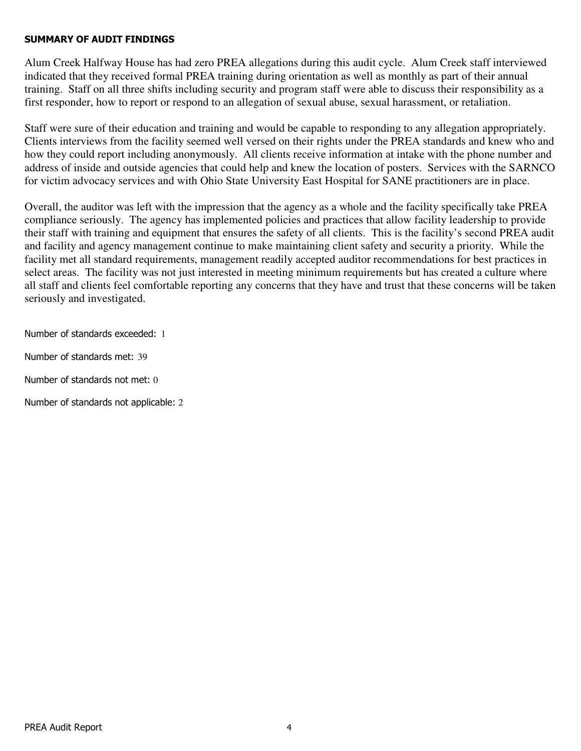## SUMMARY OF AUDIT FINDINGS

Alum Creek Halfway House has had zero PREA allegations during this audit cycle. Alum Creek staff interviewed indicated that they received formal PREA training during orientation as well as monthly as part of their annual training. Staff on all three shifts including security and program staff were able to discuss their responsibility as a first responder, how to report or respond to an allegation of sexual abuse, sexual harassment, or retaliation.

Staff were sure of their education and training and would be capable to responding to any allegation appropriately. Clients interviews from the facility seemed well versed on their rights under the PREA standards and knew who and how they could report including anonymously. All clients receive information at intake with the phone number and address of inside and outside agencies that could help and knew the location of posters. Services with the SARNCO for victim advocacy services and with Ohio State University East Hospital for SANE practitioners are in place.

Overall, the auditor was left with the impression that the agency as a whole and the facility specifically take PREA compliance seriously. The agency has implemented policies and practices that allow facility leadership to provide their staff with training and equipment that ensures the safety of all clients. This is the facility's second PREA audit and facility and agency management continue to make maintaining client safety and security a priority. While the facility met all standard requirements, management readily accepted auditor recommendations for best practices in select areas. The facility was not just interested in meeting minimum requirements but has created a culture where all staff and clients feel comfortable reporting any concerns that they have and trust that these concerns will be taken seriously and investigated.

Number of standards exceeded: 1

Number of standards met: 39

Number of standards not met: 0

Number of standards not applicable: 2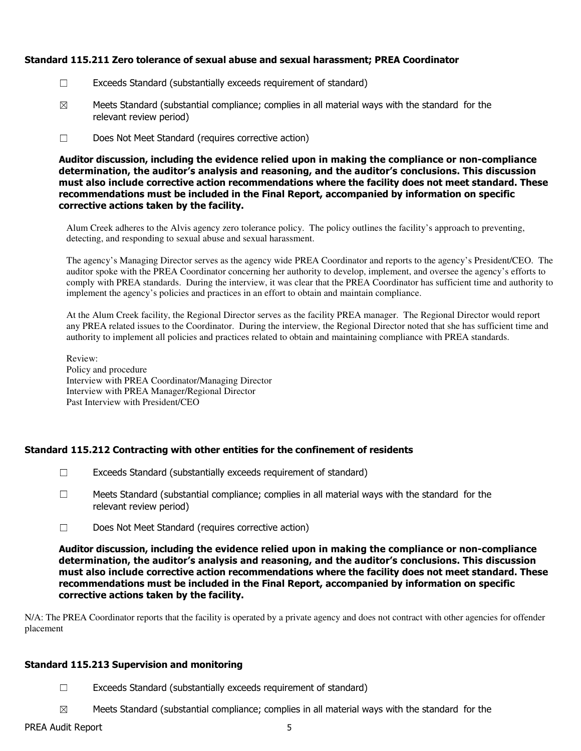## Standard 115.211 Zero tolerance of sexual abuse and sexual harassment; PREA Coordinator

- ☐ Exceeds Standard (substantially exceeds requirement of standard)
- $\boxtimes$  Meets Standard (substantial compliance; complies in all material ways with the standard for the relevant review period)
- ☐ Does Not Meet Standard (requires corrective action)

Auditor discussion, including the evidence relied upon in making the compliance or non-compliance determination, the auditor's analysis and reasoning, and the auditor's conclusions. This discussion must also include corrective action recommendations where the facility does not meet standard. These recommendations must be included in the Final Report, accompanied by information on specific corrective actions taken by the facility.

Alum Creek adheres to the Alvis agency zero tolerance policy. The policy outlines the facility's approach to preventing, detecting, and responding to sexual abuse and sexual harassment.

The agency's Managing Director serves as the agency wide PREA Coordinator and reports to the agency's President/CEO. The auditor spoke with the PREA Coordinator concerning her authority to develop, implement, and oversee the agency's efforts to comply with PREA standards. During the interview, it was clear that the PREA Coordinator has sufficient time and authority to implement the agency's policies and practices in an effort to obtain and maintain compliance.

At the Alum Creek facility, the Regional Director serves as the facility PREA manager. The Regional Director would report any PREA related issues to the Coordinator. During the interview, the Regional Director noted that she has sufficient time and authority to implement all policies and practices related to obtain and maintaining compliance with PREA standards.

Review: Policy and procedure Interview with PREA Coordinator/Managing Director Interview with PREA Manager/Regional Director Past Interview with President/CEO

## Standard 115.212 Contracting with other entities for the confinement of residents

- ☐ Exceeds Standard (substantially exceeds requirement of standard)
- $\Box$  Meets Standard (substantial compliance; complies in all material ways with the standard for the relevant review period)
- ☐ Does Not Meet Standard (requires corrective action)

Auditor discussion, including the evidence relied upon in making the compliance or non-compliance determination, the auditor's analysis and reasoning, and the auditor's conclusions. This discussion must also include corrective action recommendations where the facility does not meet standard. These recommendations must be included in the Final Report, accompanied by information on specific corrective actions taken by the facility.

N/A: The PREA Coordinator reports that the facility is operated by a private agency and does not contract with other agencies for offender placement

## Standard 115.213 Supervision and monitoring

- $\Box$  Exceeds Standard (substantially exceeds requirement of standard)
- $\boxtimes$  Meets Standard (substantial compliance; complies in all material ways with the standard for the

## PREA Audit Report 5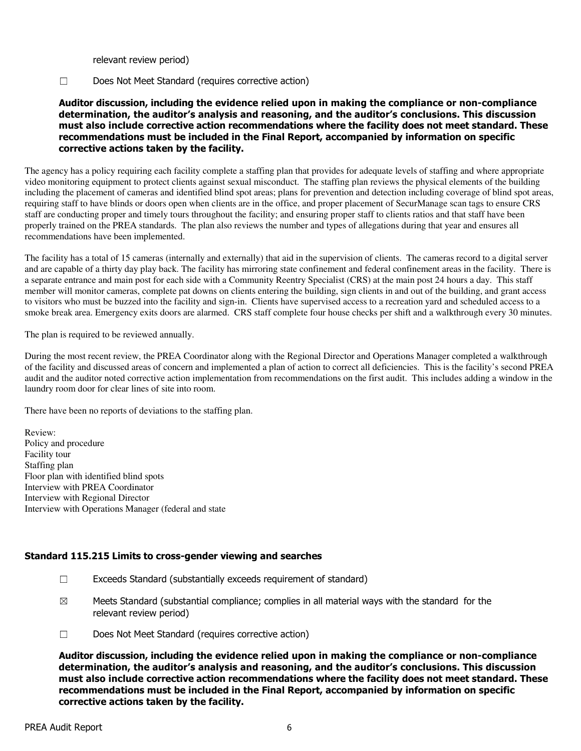relevant review period)

#### ☐ Does Not Meet Standard (requires corrective action)

## Auditor discussion, including the evidence relied upon in making the compliance or non-compliance determination, the auditor's analysis and reasoning, and the auditor's conclusions. This discussion must also include corrective action recommendations where the facility does not meet standard. These recommendations must be included in the Final Report, accompanied by information on specific corrective actions taken by the facility.

The agency has a policy requiring each facility complete a staffing plan that provides for adequate levels of staffing and where appropriate video monitoring equipment to protect clients against sexual misconduct. The staffing plan reviews the physical elements of the building including the placement of cameras and identified blind spot areas; plans for prevention and detection including coverage of blind spot areas, requiring staff to have blinds or doors open when clients are in the office, and proper placement of SecurManage scan tags to ensure CRS staff are conducting proper and timely tours throughout the facility; and ensuring proper staff to clients ratios and that staff have been properly trained on the PREA standards. The plan also reviews the number and types of allegations during that year and ensures all recommendations have been implemented.

The facility has a total of 15 cameras (internally and externally) that aid in the supervision of clients. The cameras record to a digital server and are capable of a thirty day play back. The facility has mirroring state confinement and federal confinement areas in the facility. There is a separate entrance and main post for each side with a Community Reentry Specialist (CRS) at the main post 24 hours a day. This staff member will monitor cameras, complete pat downs on clients entering the building, sign clients in and out of the building, and grant access to visitors who must be buzzed into the facility and sign-in. Clients have supervised access to a recreation yard and scheduled access to a smoke break area. Emergency exits doors are alarmed. CRS staff complete four house checks per shift and a walkthrough every 30 minutes.

The plan is required to be reviewed annually.

During the most recent review, the PREA Coordinator along with the Regional Director and Operations Manager completed a walkthrough of the facility and discussed areas of concern and implemented a plan of action to correct all deficiencies. This is the facility's second PREA audit and the auditor noted corrective action implementation from recommendations on the first audit. This includes adding a window in the laundry room door for clear lines of site into room.

There have been no reports of deviations to the staffing plan.

Review: Policy and procedure Facility tour Staffing plan Floor plan with identified blind spots Interview with PREA Coordinator Interview with Regional Director Interview with Operations Manager (federal and state

## Standard 115.215 Limits to cross-gender viewing and searches

- ☐ Exceeds Standard (substantially exceeds requirement of standard)
- $\boxtimes$  Meets Standard (substantial compliance; complies in all material ways with the standard for the relevant review period)
- ☐ Does Not Meet Standard (requires corrective action)

Auditor discussion, including the evidence relied upon in making the compliance or non-compliance determination, the auditor's analysis and reasoning, and the auditor's conclusions. This discussion must also include corrective action recommendations where the facility does not meet standard. These recommendations must be included in the Final Report, accompanied by information on specific corrective actions taken by the facility.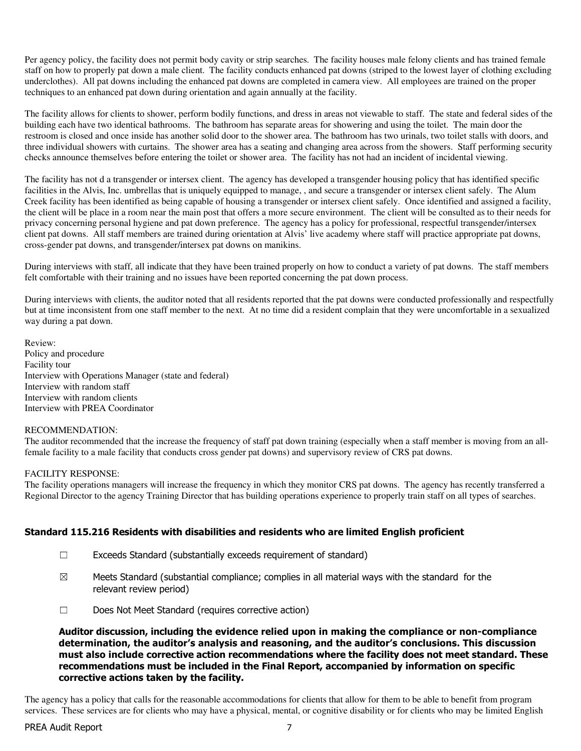Per agency policy, the facility does not permit body cavity or strip searches. The facility houses male felony clients and has trained female staff on how to properly pat down a male client. The facility conducts enhanced pat downs (striped to the lowest layer of clothing excluding underclothes). All pat downs including the enhanced pat downs are completed in camera view. All employees are trained on the proper techniques to an enhanced pat down during orientation and again annually at the facility.

The facility allows for clients to shower, perform bodily functions, and dress in areas not viewable to staff. The state and federal sides of the building each have two identical bathrooms. The bathroom has separate areas for showering and using the toilet. The main door the restroom is closed and once inside has another solid door to the shower area. The bathroom has two urinals, two toilet stalls with doors, and three individual showers with curtains. The shower area has a seating and changing area across from the showers. Staff performing security checks announce themselves before entering the toilet or shower area. The facility has not had an incident of incidental viewing.

The facility has not d a transgender or intersex client. The agency has developed a transgender housing policy that has identified specific facilities in the Alvis, Inc. umbrellas that is uniquely equipped to manage, , and secure a transgender or intersex client safely. The Alum Creek facility has been identified as being capable of housing a transgender or intersex client safely. Once identified and assigned a facility, the client will be place in a room near the main post that offers a more secure environment. The client will be consulted as to their needs for privacy concerning personal hygiene and pat down preference. The agency has a policy for professional, respectful transgender/intersex client pat downs. All staff members are trained during orientation at Alvis' live academy where staff will practice appropriate pat downs, cross-gender pat downs, and transgender/intersex pat downs on manikins.

During interviews with staff, all indicate that they have been trained properly on how to conduct a variety of pat downs. The staff members felt comfortable with their training and no issues have been reported concerning the pat down process.

During interviews with clients, the auditor noted that all residents reported that the pat downs were conducted professionally and respectfully but at time inconsistent from one staff member to the next. At no time did a resident complain that they were uncomfortable in a sexualized way during a pat down.

Review: Policy and procedure Facility tour Interview with Operations Manager (state and federal) Interview with random staff Interview with random clients Interview with PREA Coordinator

#### RECOMMENDATION:

The auditor recommended that the increase the frequency of staff pat down training (especially when a staff member is moving from an allfemale facility to a male facility that conducts cross gender pat downs) and supervisory review of CRS pat downs.

#### FACILITY RESPONSE:

The facility operations managers will increase the frequency in which they monitor CRS pat downs. The agency has recently transferred a Regional Director to the agency Training Director that has building operations experience to properly train staff on all types of searches.

## Standard 115.216 Residents with disabilities and residents who are limited English proficient

- ☐ Exceeds Standard (substantially exceeds requirement of standard)
- $\boxtimes$  Meets Standard (substantial compliance; complies in all material ways with the standard for the relevant review period)
- ☐ Does Not Meet Standard (requires corrective action)

Auditor discussion, including the evidence relied upon in making the compliance or non-compliance determination, the auditor's analysis and reasoning, and the auditor's conclusions. This discussion must also include corrective action recommendations where the facility does not meet standard. These recommendations must be included in the Final Report, accompanied by information on specific corrective actions taken by the facility.

The agency has a policy that calls for the reasonable accommodations for clients that allow for them to be able to benefit from program services. These services are for clients who may have a physical, mental, or cognitive disability or for clients who may be limited English

## PREA Audit Report 7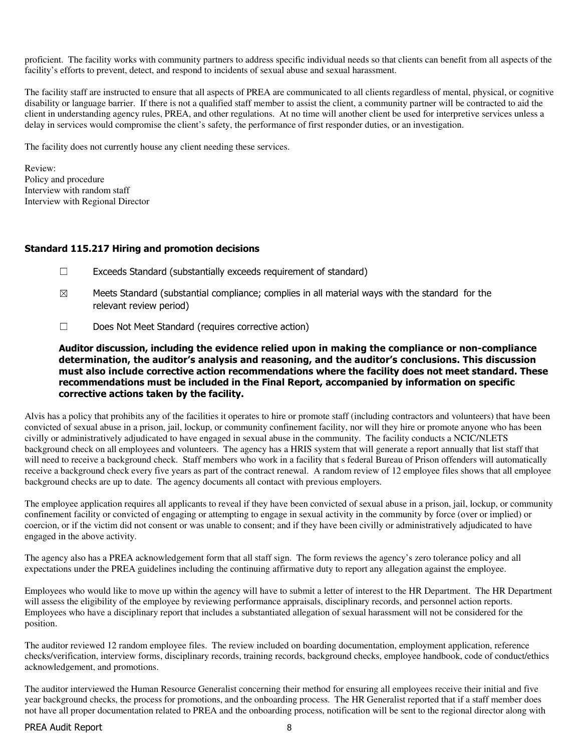proficient. The facility works with community partners to address specific individual needs so that clients can benefit from all aspects of the facility's efforts to prevent, detect, and respond to incidents of sexual abuse and sexual harassment.

The facility staff are instructed to ensure that all aspects of PREA are communicated to all clients regardless of mental, physical, or cognitive disability or language barrier. If there is not a qualified staff member to assist the client, a community partner will be contracted to aid the client in understanding agency rules, PREA, and other regulations. At no time will another client be used for interpretive services unless a delay in services would compromise the client's safety, the performance of first responder duties, or an investigation.

The facility does not currently house any client needing these services.

Review: Policy and procedure Interview with random staff Interview with Regional Director

#### Standard 115.217 Hiring and promotion decisions

- $\Box$  Exceeds Standard (substantially exceeds requirement of standard)
- $\boxtimes$  Meets Standard (substantial compliance; complies in all material ways with the standard for the relevant review period)
- ☐ Does Not Meet Standard (requires corrective action)

Auditor discussion, including the evidence relied upon in making the compliance or non-compliance determination, the auditor's analysis and reasoning, and the auditor's conclusions. This discussion must also include corrective action recommendations where the facility does not meet standard. These recommendations must be included in the Final Report, accompanied by information on specific corrective actions taken by the facility.

Alvis has a policy that prohibits any of the facilities it operates to hire or promote staff (including contractors and volunteers) that have been convicted of sexual abuse in a prison, jail, lockup, or community confinement facility, nor will they hire or promote anyone who has been civilly or administratively adjudicated to have engaged in sexual abuse in the community. The facility conducts a NCIC/NLETS background check on all employees and volunteers. The agency has a HRIS system that will generate a report annually that list staff that will need to receive a background check. Staff members who work in a facility that s federal Bureau of Prison offenders will automatically receive a background check every five years as part of the contract renewal. A random review of 12 employee files shows that all employee background checks are up to date. The agency documents all contact with previous employers.

The employee application requires all applicants to reveal if they have been convicted of sexual abuse in a prison, jail, lockup, or community confinement facility or convicted of engaging or attempting to engage in sexual activity in the community by force (over or implied) or coercion, or if the victim did not consent or was unable to consent; and if they have been civilly or administratively adjudicated to have engaged in the above activity.

The agency also has a PREA acknowledgement form that all staff sign. The form reviews the agency's zero tolerance policy and all expectations under the PREA guidelines including the continuing affirmative duty to report any allegation against the employee.

Employees who would like to move up within the agency will have to submit a letter of interest to the HR Department. The HR Department will assess the eligibility of the employee by reviewing performance appraisals, disciplinary records, and personnel action reports. Employees who have a disciplinary report that includes a substantiated allegation of sexual harassment will not be considered for the position.

The auditor reviewed 12 random employee files. The review included on boarding documentation, employment application, reference checks/verification, interview forms, disciplinary records, training records, background checks, employee handbook, code of conduct/ethics acknowledgement, and promotions.

The auditor interviewed the Human Resource Generalist concerning their method for ensuring all employees receive their initial and five year background checks, the process for promotions, and the onboarding process. The HR Generalist reported that if a staff member does not have all proper documentation related to PREA and the onboarding process, notification will be sent to the regional director along with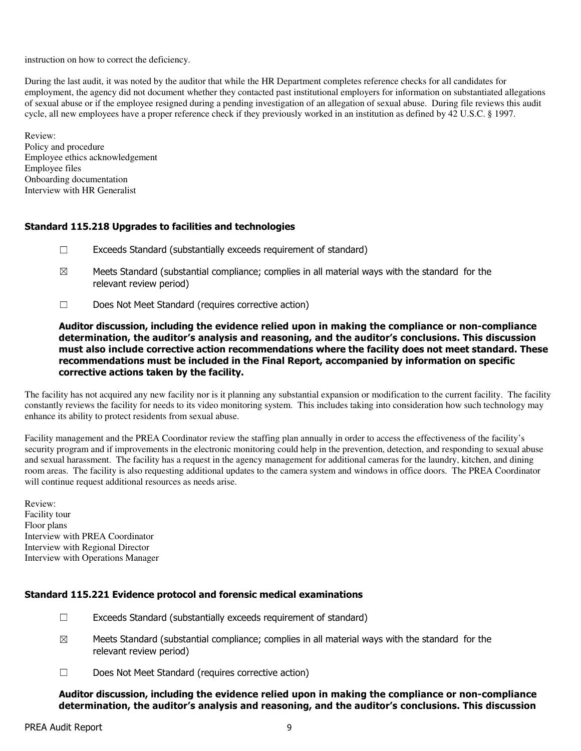instruction on how to correct the deficiency.

During the last audit, it was noted by the auditor that while the HR Department completes reference checks for all candidates for employment, the agency did not document whether they contacted past institutional employers for information on substantiated allegations of sexual abuse or if the employee resigned during a pending investigation of an allegation of sexual abuse. During file reviews this audit cycle, all new employees have a proper reference check if they previously worked in an institution as defined by 42 U.S.C. § 1997.

Review: Policy and procedure Employee ethics acknowledgement Employee files Onboarding documentation Interview with HR Generalist

## Standard 115.218 Upgrades to facilities and technologies

- ☐ Exceeds Standard (substantially exceeds requirement of standard)
- $\boxtimes$  Meets Standard (substantial compliance; complies in all material ways with the standard for the relevant review period)
- ☐ Does Not Meet Standard (requires corrective action)

Auditor discussion, including the evidence relied upon in making the compliance or non-compliance determination, the auditor's analysis and reasoning, and the auditor's conclusions. This discussion must also include corrective action recommendations where the facility does not meet standard. These recommendations must be included in the Final Report, accompanied by information on specific corrective actions taken by the facility.

The facility has not acquired any new facility nor is it planning any substantial expansion or modification to the current facility. The facility constantly reviews the facility for needs to its video monitoring system. This includes taking into consideration how such technology may enhance its ability to protect residents from sexual abuse.

Facility management and the PREA Coordinator review the staffing plan annually in order to access the effectiveness of the facility's security program and if improvements in the electronic monitoring could help in the prevention, detection, and responding to sexual abuse and sexual harassment. The facility has a request in the agency management for additional cameras for the laundry, kitchen, and dining room areas. The facility is also requesting additional updates to the camera system and windows in office doors. The PREA Coordinator will continue request additional resources as needs arise.

Review: Facility tour Floor plans Interview with PREA Coordinator Interview with Regional Director Interview with Operations Manager

## Standard 115.221 Evidence protocol and forensic medical examinations

- $\Box$  Exceeds Standard (substantially exceeds requirement of standard)
- $\boxtimes$  Meets Standard (substantial compliance; complies in all material ways with the standard for the relevant review period)
- ☐ Does Not Meet Standard (requires corrective action)

Auditor discussion, including the evidence relied upon in making the compliance or non-compliance determination, the auditor's analysis and reasoning, and the auditor's conclusions. This discussion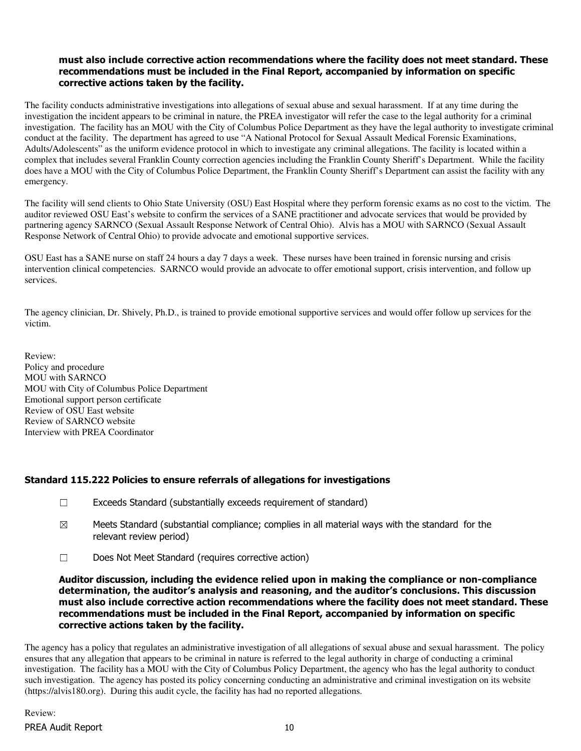#### must also include corrective action recommendations where the facility does not meet standard. These recommendations must be included in the Final Report, accompanied by information on specific corrective actions taken by the facility.

The facility conducts administrative investigations into allegations of sexual abuse and sexual harassment. If at any time during the investigation the incident appears to be criminal in nature, the PREA investigator will refer the case to the legal authority for a criminal investigation. The facility has an MOU with the City of Columbus Police Department as they have the legal authority to investigate criminal conduct at the facility. The department has agreed to use "A National Protocol for Sexual Assault Medical Forensic Examinations, Adults/Adolescents" as the uniform evidence protocol in which to investigate any criminal allegations. The facility is located within a complex that includes several Franklin County correction agencies including the Franklin County Sheriff's Department. While the facility does have a MOU with the City of Columbus Police Department, the Franklin County Sheriff's Department can assist the facility with any emergency.

The facility will send clients to Ohio State University (OSU) East Hospital where they perform forensic exams as no cost to the victim. The auditor reviewed OSU East's website to confirm the services of a SANE practitioner and advocate services that would be provided by partnering agency SARNCO (Sexual Assault Response Network of Central Ohio). Alvis has a MOU with SARNCO (Sexual Assault Response Network of Central Ohio) to provide advocate and emotional supportive services.

OSU East has a SANE nurse on staff 24 hours a day 7 days a week. These nurses have been trained in forensic nursing and crisis intervention clinical competencies. SARNCO would provide an advocate to offer emotional support, crisis intervention, and follow up services.

The agency clinician, Dr. Shively, Ph.D., is trained to provide emotional supportive services and would offer follow up services for the victim.

Review: Policy and procedure MOU with SARNCO MOU with City of Columbus Police Department Emotional support person certificate Review of OSU East website Review of SARNCO website Interview with PREA Coordinator

## Standard 115.222 Policies to ensure referrals of allegations for investigations

- $\Box$  Exceeds Standard (substantially exceeds requirement of standard)
- $\boxtimes$  Meets Standard (substantial compliance; complies in all material ways with the standard for the relevant review period)
- ☐ Does Not Meet Standard (requires corrective action)

Auditor discussion, including the evidence relied upon in making the compliance or non-compliance determination, the auditor's analysis and reasoning, and the auditor's conclusions. This discussion must also include corrective action recommendations where the facility does not meet standard. These recommendations must be included in the Final Report, accompanied by information on specific corrective actions taken by the facility.

The agency has a policy that regulates an administrative investigation of all allegations of sexual abuse and sexual harassment. The policy ensures that any allegation that appears to be criminal in nature is referred to the legal authority in charge of conducting a criminal investigation. The facility has a MOU with the City of Columbus Policy Department, the agency who has the legal authority to conduct such investigation. The agency has posted its policy concerning conducting an administrative and criminal investigation on its website (https://alvis180.org). During this audit cycle, the facility has had no reported allegations.

PREA Audit Report 10 Review: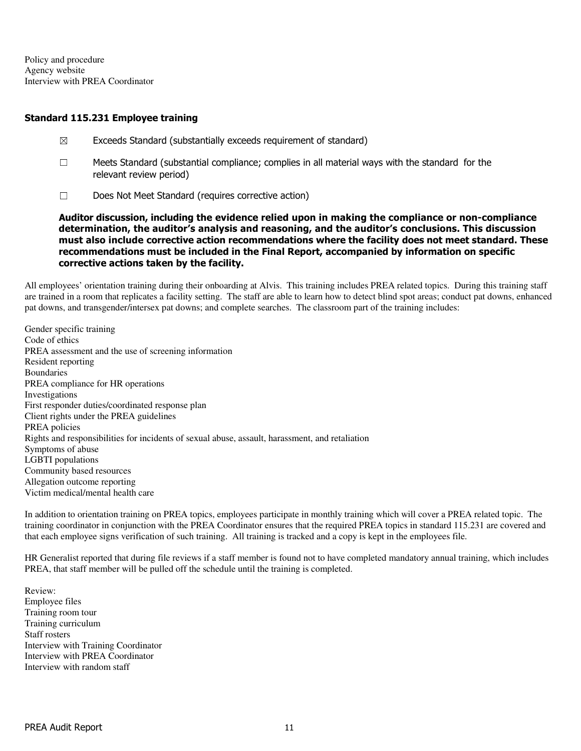Policy and procedure Agency website Interview with PREA Coordinator

#### Standard 115.231 Employee training

- $\boxtimes$  Exceeds Standard (substantially exceeds requirement of standard)
- $\Box$  Meets Standard (substantial compliance; complies in all material ways with the standard for the relevant review period)
- ☐ Does Not Meet Standard (requires corrective action)

Auditor discussion, including the evidence relied upon in making the compliance or non-compliance determination, the auditor's analysis and reasoning, and the auditor's conclusions. This discussion must also include corrective action recommendations where the facility does not meet standard. These recommendations must be included in the Final Report, accompanied by information on specific corrective actions taken by the facility.

All employees' orientation training during their onboarding at Alvis. This training includes PREA related topics. During this training staff are trained in a room that replicates a facility setting. The staff are able to learn how to detect blind spot areas; conduct pat downs, enhanced pat downs, and transgender/intersex pat downs; and complete searches. The classroom part of the training includes:

Gender specific training Code of ethics PREA assessment and the use of screening information Resident reporting **Boundaries** PREA compliance for HR operations Investigations First responder duties/coordinated response plan Client rights under the PREA guidelines PREA policies Rights and responsibilities for incidents of sexual abuse, assault, harassment, and retaliation Symptoms of abuse LGBTI populations Community based resources Allegation outcome reporting Victim medical/mental health care

In addition to orientation training on PREA topics, employees participate in monthly training which will cover a PREA related topic. The training coordinator in conjunction with the PREA Coordinator ensures that the required PREA topics in standard 115.231 are covered and that each employee signs verification of such training. All training is tracked and a copy is kept in the employees file.

HR Generalist reported that during file reviews if a staff member is found not to have completed mandatory annual training, which includes PREA, that staff member will be pulled off the schedule until the training is completed.

Review: Employee files Training room tour Training curriculum Staff rosters Interview with Training Coordinator Interview with PREA Coordinator Interview with random staff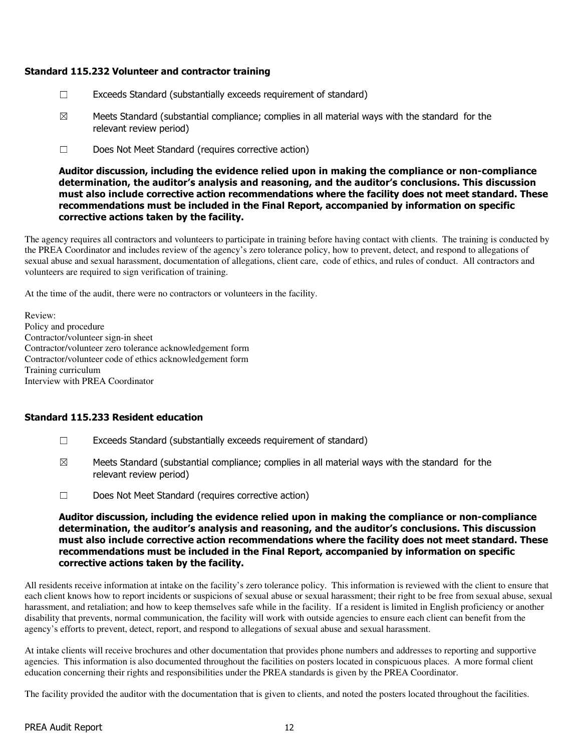## Standard 115.232 Volunteer and contractor training

- $\Box$  Exceeds Standard (substantially exceeds requirement of standard)
- $\boxtimes$  Meets Standard (substantial compliance; complies in all material ways with the standard for the relevant review period)
- ☐ Does Not Meet Standard (requires corrective action)

Auditor discussion, including the evidence relied upon in making the compliance or non-compliance determination, the auditor's analysis and reasoning, and the auditor's conclusions. This discussion must also include corrective action recommendations where the facility does not meet standard. These recommendations must be included in the Final Report, accompanied by information on specific corrective actions taken by the facility.

The agency requires all contractors and volunteers to participate in training before having contact with clients. The training is conducted by the PREA Coordinator and includes review of the agency's zero tolerance policy, how to prevent, detect, and respond to allegations of sexual abuse and sexual harassment, documentation of allegations, client care, code of ethics, and rules of conduct. All contractors and volunteers are required to sign verification of training.

At the time of the audit, there were no contractors or volunteers in the facility.

Review: Policy and procedure Contractor/volunteer sign-in sheet Contractor/volunteer zero tolerance acknowledgement form Contractor/volunteer code of ethics acknowledgement form Training curriculum Interview with PREA Coordinator

## Standard 115.233 Resident education

- $\Box$  Exceeds Standard (substantially exceeds requirement of standard)
- $\boxtimes$  Meets Standard (substantial compliance; complies in all material ways with the standard for the relevant review period)
- ☐ Does Not Meet Standard (requires corrective action)

Auditor discussion, including the evidence relied upon in making the compliance or non-compliance determination, the auditor's analysis and reasoning, and the auditor's conclusions. This discussion must also include corrective action recommendations where the facility does not meet standard. These recommendations must be included in the Final Report, accompanied by information on specific corrective actions taken by the facility.

All residents receive information at intake on the facility's zero tolerance policy. This information is reviewed with the client to ensure that each client knows how to report incidents or suspicions of sexual abuse or sexual harassment; their right to be free from sexual abuse, sexual harassment, and retaliation; and how to keep themselves safe while in the facility. If a resident is limited in English proficiency or another disability that prevents, normal communication, the facility will work with outside agencies to ensure each client can benefit from the agency's efforts to prevent, detect, report, and respond to allegations of sexual abuse and sexual harassment.

At intake clients will receive brochures and other documentation that provides phone numbers and addresses to reporting and supportive agencies. This information is also documented throughout the facilities on posters located in conspicuous places. A more formal client education concerning their rights and responsibilities under the PREA standards is given by the PREA Coordinator.

The facility provided the auditor with the documentation that is given to clients, and noted the posters located throughout the facilities.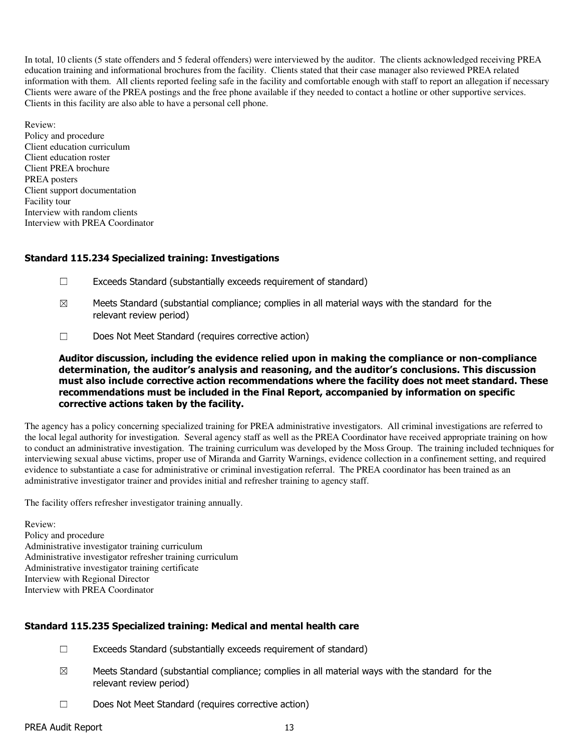In total, 10 clients (5 state offenders and 5 federal offenders) were interviewed by the auditor. The clients acknowledged receiving PREA education training and informational brochures from the facility. Clients stated that their case manager also reviewed PREA related information with them. All clients reported feeling safe in the facility and comfortable enough with staff to report an allegation if necessary Clients were aware of the PREA postings and the free phone available if they needed to contact a hotline or other supportive services. Clients in this facility are also able to have a personal cell phone.

Review: Policy and procedure Client education curriculum Client education roster Client PREA brochure PREA posters Client support documentation Facility tour Interview with random clients Interview with PREA Coordinator

## Standard 115.234 Specialized training: Investigations

- ☐ Exceeds Standard (substantially exceeds requirement of standard)
- $\boxtimes$  Meets Standard (substantial compliance; complies in all material ways with the standard for the relevant review period)
- ☐ Does Not Meet Standard (requires corrective action)

Auditor discussion, including the evidence relied upon in making the compliance or non-compliance determination, the auditor's analysis and reasoning, and the auditor's conclusions. This discussion must also include corrective action recommendations where the facility does not meet standard. These recommendations must be included in the Final Report, accompanied by information on specific corrective actions taken by the facility.

The agency has a policy concerning specialized training for PREA administrative investigators. All criminal investigations are referred to the local legal authority for investigation. Several agency staff as well as the PREA Coordinator have received appropriate training on how to conduct an administrative investigation. The training curriculum was developed by the Moss Group. The training included techniques for interviewing sexual abuse victims, proper use of Miranda and Garrity Warnings, evidence collection in a confinement setting, and required evidence to substantiate a case for administrative or criminal investigation referral. The PREA coordinator has been trained as an administrative investigator trainer and provides initial and refresher training to agency staff.

The facility offers refresher investigator training annually.

Review: Policy and procedure Administrative investigator training curriculum Administrative investigator refresher training curriculum Administrative investigator training certificate Interview with Regional Director Interview with PREA Coordinator

## Standard 115.235 Specialized training: Medical and mental health care

- $\Box$  Exceeds Standard (substantially exceeds requirement of standard)
- $\boxtimes$  Meets Standard (substantial compliance; complies in all material ways with the standard for the relevant review period)
- ☐ Does Not Meet Standard (requires corrective action)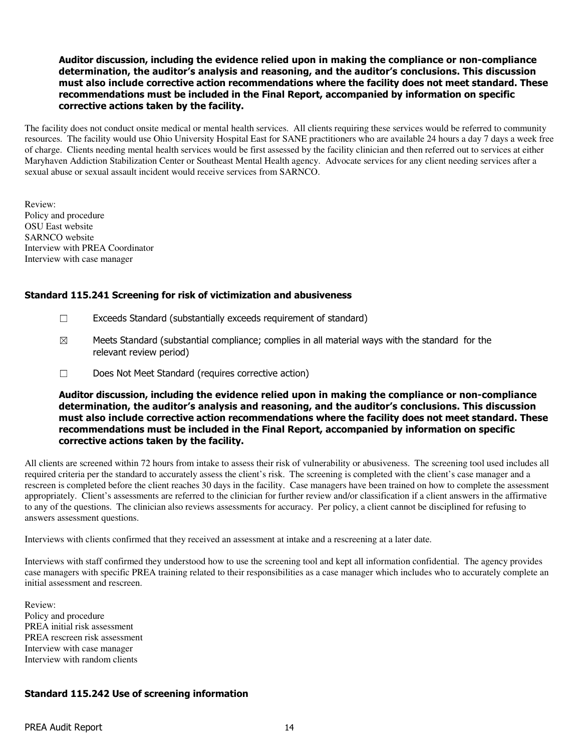#### Auditor discussion, including the evidence relied upon in making the compliance or non-compliance determination, the auditor's analysis and reasoning, and the auditor's conclusions. This discussion must also include corrective action recommendations where the facility does not meet standard. These recommendations must be included in the Final Report, accompanied by information on specific corrective actions taken by the facility.

The facility does not conduct onsite medical or mental health services. All clients requiring these services would be referred to community resources. The facility would use Ohio University Hospital East for SANE practitioners who are available 24 hours a day 7 days a week free of charge. Clients needing mental health services would be first assessed by the facility clinician and then referred out to services at either Maryhaven Addiction Stabilization Center or Southeast Mental Health agency. Advocate services for any client needing services after a sexual abuse or sexual assault incident would receive services from SARNCO.

Review: Policy and procedure OSU East website SARNCO website Interview with PREA Coordinator Interview with case manager

## Standard 115.241 Screening for risk of victimization and abusiveness

- ☐ Exceeds Standard (substantially exceeds requirement of standard)
- $\boxtimes$  Meets Standard (substantial compliance; complies in all material ways with the standard for the relevant review period)
- ☐ Does Not Meet Standard (requires corrective action)

Auditor discussion, including the evidence relied upon in making the compliance or non-compliance determination, the auditor's analysis and reasoning, and the auditor's conclusions. This discussion must also include corrective action recommendations where the facility does not meet standard. These recommendations must be included in the Final Report, accompanied by information on specific corrective actions taken by the facility.

All clients are screened within 72 hours from intake to assess their risk of vulnerability or abusiveness. The screening tool used includes all required criteria per the standard to accurately assess the client's risk. The screening is completed with the client's case manager and a rescreen is completed before the client reaches 30 days in the facility. Case managers have been trained on how to complete the assessment appropriately. Client's assessments are referred to the clinician for further review and/or classification if a client answers in the affirmative to any of the questions. The clinician also reviews assessments for accuracy. Per policy, a client cannot be disciplined for refusing to answers assessment questions.

Interviews with clients confirmed that they received an assessment at intake and a rescreening at a later date.

Interviews with staff confirmed they understood how to use the screening tool and kept all information confidential. The agency provides case managers with specific PREA training related to their responsibilities as a case manager which includes who to accurately complete an initial assessment and rescreen.

Review: Policy and procedure PREA initial risk assessment PREA rescreen risk assessment Interview with case manager Interview with random clients

## Standard 115.242 Use of screening information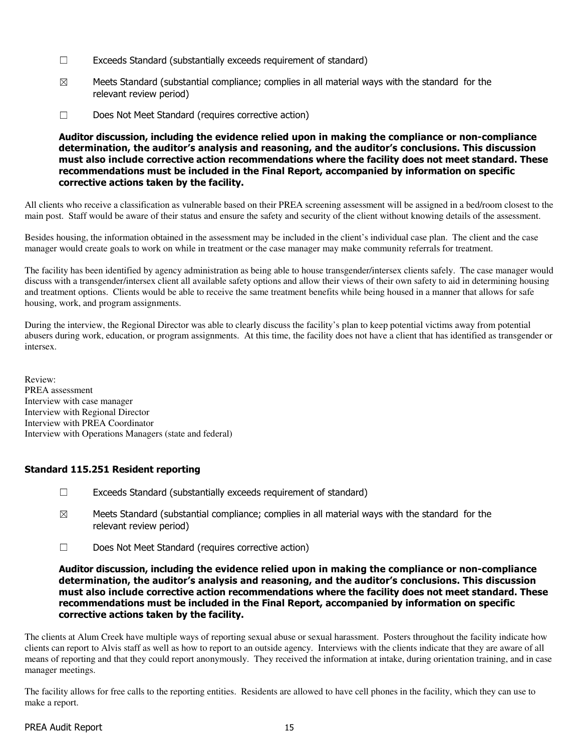- ☐ Exceeds Standard (substantially exceeds requirement of standard)
- $\boxtimes$  Meets Standard (substantial compliance; complies in all material ways with the standard for the relevant review period)
- ☐ Does Not Meet Standard (requires corrective action)

Auditor discussion, including the evidence relied upon in making the compliance or non-compliance determination, the auditor's analysis and reasoning, and the auditor's conclusions. This discussion must also include corrective action recommendations where the facility does not meet standard. These recommendations must be included in the Final Report, accompanied by information on specific corrective actions taken by the facility.

All clients who receive a classification as vulnerable based on their PREA screening assessment will be assigned in a bed/room closest to the main post. Staff would be aware of their status and ensure the safety and security of the client without knowing details of the assessment.

Besides housing, the information obtained in the assessment may be included in the client's individual case plan. The client and the case manager would create goals to work on while in treatment or the case manager may make community referrals for treatment.

The facility has been identified by agency administration as being able to house transgender/intersex clients safely. The case manager would discuss with a transgender/intersex client all available safety options and allow their views of their own safety to aid in determining housing and treatment options. Clients would be able to receive the same treatment benefits while being housed in a manner that allows for safe housing, work, and program assignments.

During the interview, the Regional Director was able to clearly discuss the facility's plan to keep potential victims away from potential abusers during work, education, or program assignments. At this time, the facility does not have a client that has identified as transgender or intersex.

Review: PREA assessment Interview with case manager Interview with Regional Director Interview with PREA Coordinator Interview with Operations Managers (state and federal)

## Standard 115.251 Resident reporting

- $\Box$  Exceeds Standard (substantially exceeds requirement of standard)
- $\boxtimes$  Meets Standard (substantial compliance; complies in all material ways with the standard for the relevant review period)
- ☐ Does Not Meet Standard (requires corrective action)

Auditor discussion, including the evidence relied upon in making the compliance or non-compliance determination, the auditor's analysis and reasoning, and the auditor's conclusions. This discussion must also include corrective action recommendations where the facility does not meet standard. These recommendations must be included in the Final Report, accompanied by information on specific corrective actions taken by the facility.

The clients at Alum Creek have multiple ways of reporting sexual abuse or sexual harassment. Posters throughout the facility indicate how clients can report to Alvis staff as well as how to report to an outside agency. Interviews with the clients indicate that they are aware of all means of reporting and that they could report anonymously. They received the information at intake, during orientation training, and in case manager meetings.

The facility allows for free calls to the reporting entities. Residents are allowed to have cell phones in the facility, which they can use to make a report.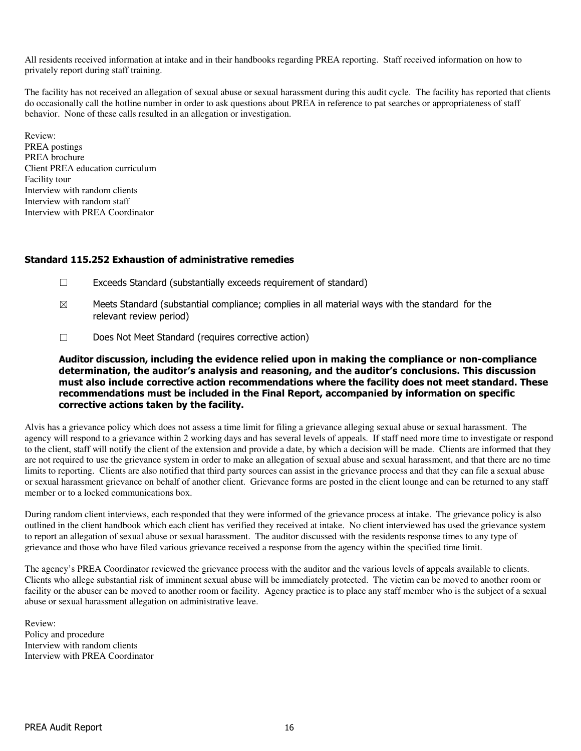All residents received information at intake and in their handbooks regarding PREA reporting. Staff received information on how to privately report during staff training.

The facility has not received an allegation of sexual abuse or sexual harassment during this audit cycle. The facility has reported that clients do occasionally call the hotline number in order to ask questions about PREA in reference to pat searches or appropriateness of staff behavior. None of these calls resulted in an allegation or investigation.

Review: PREA postings PREA brochure Client PREA education curriculum Facility tour Interview with random clients Interview with random staff Interview with PREA Coordinator

#### Standard 115.252 Exhaustion of administrative remedies

- $\Box$  Exceeds Standard (substantially exceeds requirement of standard)
- $\boxtimes$  Meets Standard (substantial compliance; complies in all material ways with the standard for the relevant review period)
- ☐ Does Not Meet Standard (requires corrective action)

Auditor discussion, including the evidence relied upon in making the compliance or non-compliance determination, the auditor's analysis and reasoning, and the auditor's conclusions. This discussion must also include corrective action recommendations where the facility does not meet standard. These recommendations must be included in the Final Report, accompanied by information on specific corrective actions taken by the facility.

Alvis has a grievance policy which does not assess a time limit for filing a grievance alleging sexual abuse or sexual harassment. The agency will respond to a grievance within 2 working days and has several levels of appeals. If staff need more time to investigate or respond to the client, staff will notify the client of the extension and provide a date, by which a decision will be made. Clients are informed that they are not required to use the grievance system in order to make an allegation of sexual abuse and sexual harassment, and that there are no time limits to reporting. Clients are also notified that third party sources can assist in the grievance process and that they can file a sexual abuse or sexual harassment grievance on behalf of another client. Grievance forms are posted in the client lounge and can be returned to any staff member or to a locked communications box.

During random client interviews, each responded that they were informed of the grievance process at intake. The grievance policy is also outlined in the client handbook which each client has verified they received at intake. No client interviewed has used the grievance system to report an allegation of sexual abuse or sexual harassment. The auditor discussed with the residents response times to any type of grievance and those who have filed various grievance received a response from the agency within the specified time limit.

The agency's PREA Coordinator reviewed the grievance process with the auditor and the various levels of appeals available to clients. Clients who allege substantial risk of imminent sexual abuse will be immediately protected. The victim can be moved to another room or facility or the abuser can be moved to another room or facility. Agency practice is to place any staff member who is the subject of a sexual abuse or sexual harassment allegation on administrative leave.

Review: Policy and procedure Interview with random clients Interview with PREA Coordinator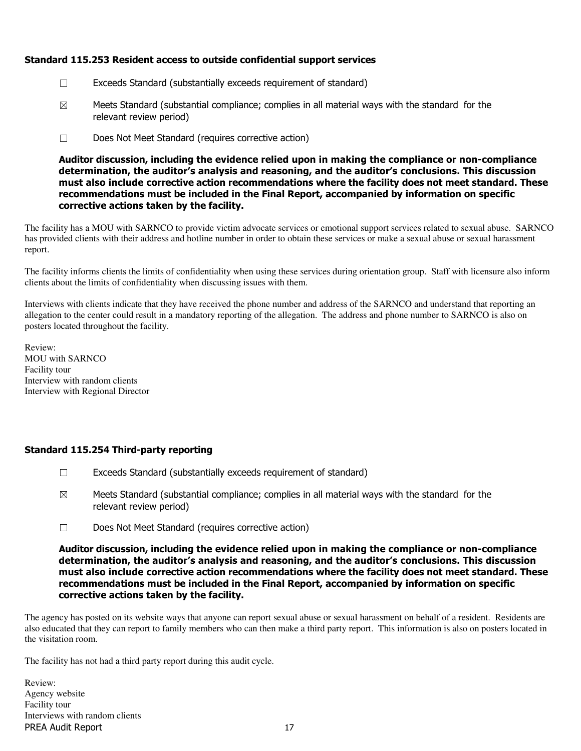## Standard 115.253 Resident access to outside confidential support services

- ☐ Exceeds Standard (substantially exceeds requirement of standard)
- $\boxtimes$  Meets Standard (substantial compliance; complies in all material ways with the standard for the relevant review period)
- ☐ Does Not Meet Standard (requires corrective action)

Auditor discussion, including the evidence relied upon in making the compliance or non-compliance determination, the auditor's analysis and reasoning, and the auditor's conclusions. This discussion must also include corrective action recommendations where the facility does not meet standard. These recommendations must be included in the Final Report, accompanied by information on specific corrective actions taken by the facility.

The facility has a MOU with SARNCO to provide victim advocate services or emotional support services related to sexual abuse. SARNCO has provided clients with their address and hotline number in order to obtain these services or make a sexual abuse or sexual harassment report.

The facility informs clients the limits of confidentiality when using these services during orientation group. Staff with licensure also inform clients about the limits of confidentiality when discussing issues with them.

Interviews with clients indicate that they have received the phone number and address of the SARNCO and understand that reporting an allegation to the center could result in a mandatory reporting of the allegation. The address and phone number to SARNCO is also on posters located throughout the facility.

Review: MOU with SARNCO Facility tour Interview with random clients Interview with Regional Director

## Standard 115.254 Third-party reporting

- ☐ Exceeds Standard (substantially exceeds requirement of standard)
- $\boxtimes$  Meets Standard (substantial compliance; complies in all material ways with the standard for the relevant review period)
- ☐ Does Not Meet Standard (requires corrective action)

Auditor discussion, including the evidence relied upon in making the compliance or non-compliance determination, the auditor's analysis and reasoning, and the auditor's conclusions. This discussion must also include corrective action recommendations where the facility does not meet standard. These recommendations must be included in the Final Report, accompanied by information on specific corrective actions taken by the facility.

The agency has posted on its website ways that anyone can report sexual abuse or sexual harassment on behalf of a resident. Residents are also educated that they can report to family members who can then make a third party report. This information is also on posters located in the visitation room.

The facility has not had a third party report during this audit cycle.

PREA Audit Report 17 Review: Agency website Facility tour Interviews with random clients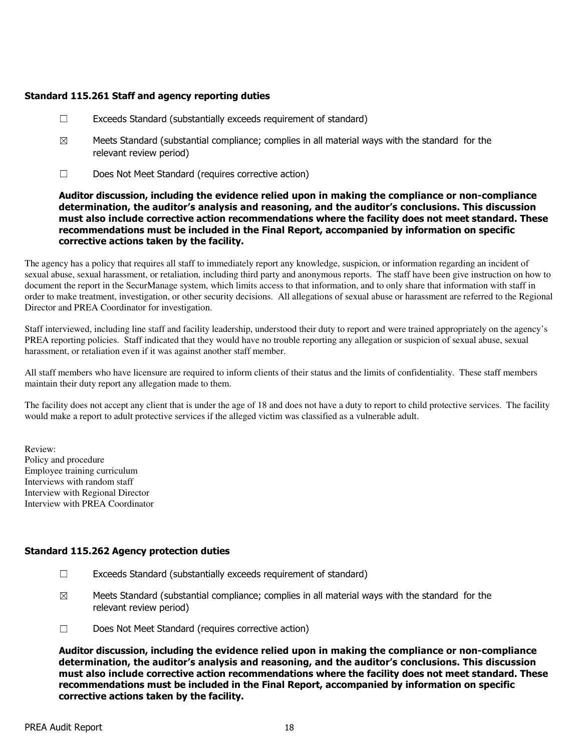## Standard 115.261 Staff and agency reporting duties

- $\Box$  Exceeds Standard (substantially exceeds requirement of standard)
- $\boxtimes$  Meets Standard (substantial compliance; complies in all material ways with the standard for the relevant review period)
- ☐ Does Not Meet Standard (requires corrective action)

#### Auditor discussion, including the evidence relied upon in making the compliance or non-compliance determination, the auditor's analysis and reasoning, and the auditor's conclusions. This discussion must also include corrective action recommendations where the facility does not meet standard. These recommendations must be included in the Final Report, accompanied by information on specific corrective actions taken by the facility.

The agency has a policy that requires all staff to immediately report any knowledge, suspicion, or information regarding an incident of sexual abuse, sexual harassment, or retaliation, including third party and anonymous reports. The staff have been give instruction on how to document the report in the SecurManage system, which limits access to that information, and to only share that information with staff in order to make treatment, investigation, or other security decisions. All allegations of sexual abuse or harassment are referred to the Regional Director and PREA Coordinator for investigation.

Staff interviewed, including line staff and facility leadership, understood their duty to report and were trained appropriately on the agency's PREA reporting policies. Staff indicated that they would have no trouble reporting any allegation or suspicion of sexual abuse, sexual harassment, or retaliation even if it was against another staff member.

All staff members who have licensure are required to inform clients of their status and the limits of confidentiality. These staff members maintain their duty report any allegation made to them.

The facility does not accept any client that is under the age of 18 and does not have a duty to report to child protective services. The facility would make a report to adult protective services if the alleged victim was classified as a vulnerable adult.

Review: Policy and procedure Employee training curriculum Interviews with random staff Interview with Regional Director Interview with PREA Coordinator

## Standard 115.262 Agency protection duties

- ☐ Exceeds Standard (substantially exceeds requirement of standard)
- $\boxtimes$  Meets Standard (substantial compliance; complies in all material ways with the standard for the relevant review period)
- ☐ Does Not Meet Standard (requires corrective action)

Auditor discussion, including the evidence relied upon in making the compliance or non-compliance determination, the auditor's analysis and reasoning, and the auditor's conclusions. This discussion must also include corrective action recommendations where the facility does not meet standard. These recommendations must be included in the Final Report, accompanied by information on specific corrective actions taken by the facility.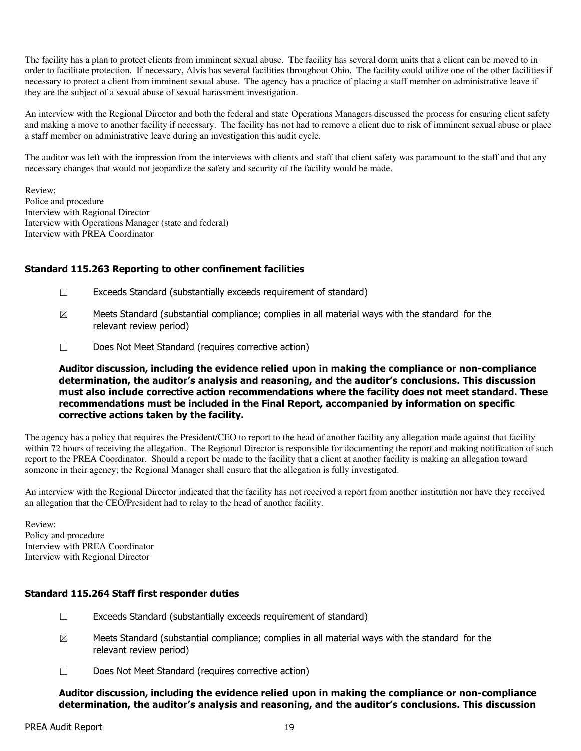The facility has a plan to protect clients from imminent sexual abuse. The facility has several dorm units that a client can be moved to in order to facilitate protection. If necessary, Alvis has several facilities throughout Ohio. The facility could utilize one of the other facilities if necessary to protect a client from imminent sexual abuse. The agency has a practice of placing a staff member on administrative leave if they are the subject of a sexual abuse of sexual harassment investigation.

An interview with the Regional Director and both the federal and state Operations Managers discussed the process for ensuring client safety and making a move to another facility if necessary. The facility has not had to remove a client due to risk of imminent sexual abuse or place a staff member on administrative leave during an investigation this audit cycle.

The auditor was left with the impression from the interviews with clients and staff that client safety was paramount to the staff and that any necessary changes that would not jeopardize the safety and security of the facility would be made.

Review: Police and procedure Interview with Regional Director Interview with Operations Manager (state and federal) Interview with PREA Coordinator

#### Standard 115.263 Reporting to other confinement facilities

- ☐ Exceeds Standard (substantially exceeds requirement of standard)
- $\boxtimes$  Meets Standard (substantial compliance; complies in all material ways with the standard for the relevant review period)
- ☐ Does Not Meet Standard (requires corrective action)

Auditor discussion, including the evidence relied upon in making the compliance or non-compliance determination, the auditor's analysis and reasoning, and the auditor's conclusions. This discussion must also include corrective action recommendations where the facility does not meet standard. These recommendations must be included in the Final Report, accompanied by information on specific corrective actions taken by the facility.

The agency has a policy that requires the President/CEO to report to the head of another facility any allegation made against that facility within 72 hours of receiving the allegation. The Regional Director is responsible for documenting the report and making notification of such report to the PREA Coordinator. Should a report be made to the facility that a client at another facility is making an allegation toward someone in their agency; the Regional Manager shall ensure that the allegation is fully investigated.

An interview with the Regional Director indicated that the facility has not received a report from another institution nor have they received an allegation that the CEO/President had to relay to the head of another facility.

Review: Policy and procedure Interview with PREA Coordinator Interview with Regional Director

#### Standard 115.264 Staff first responder duties

- $\Box$  Exceeds Standard (substantially exceeds requirement of standard)
- $\boxtimes$  Meets Standard (substantial compliance; complies in all material ways with the standard for the relevant review period)
- ☐ Does Not Meet Standard (requires corrective action)

Auditor discussion, including the evidence relied upon in making the compliance or non-compliance determination, the auditor's analysis and reasoning, and the auditor's conclusions. This discussion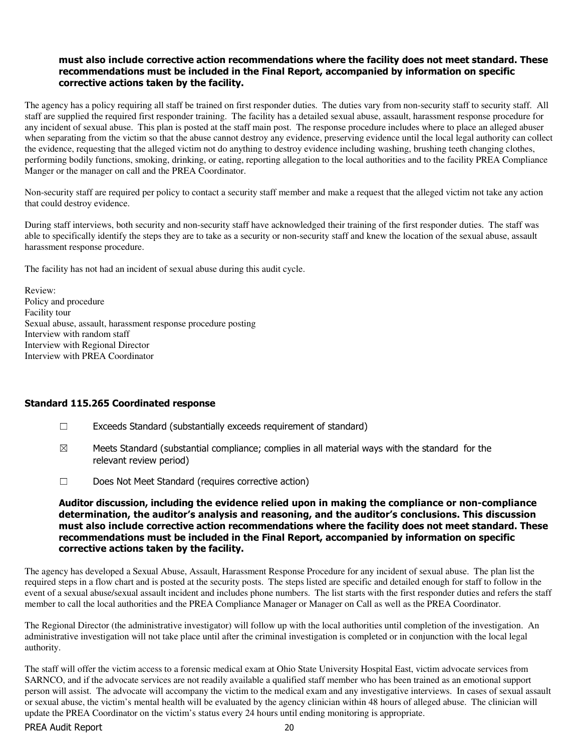#### must also include corrective action recommendations where the facility does not meet standard. These recommendations must be included in the Final Report, accompanied by information on specific corrective actions taken by the facility.

The agency has a policy requiring all staff be trained on first responder duties. The duties vary from non-security staff to security staff. All staff are supplied the required first responder training. The facility has a detailed sexual abuse, assault, harassment response procedure for any incident of sexual abuse. This plan is posted at the staff main post. The response procedure includes where to place an alleged abuser when separating from the victim so that the abuse cannot destroy any evidence, preserving evidence until the local legal authority can collect the evidence, requesting that the alleged victim not do anything to destroy evidence including washing, brushing teeth changing clothes, performing bodily functions, smoking, drinking, or eating, reporting allegation to the local authorities and to the facility PREA Compliance Manger or the manager on call and the PREA Coordinator.

Non-security staff are required per policy to contact a security staff member and make a request that the alleged victim not take any action that could destroy evidence.

During staff interviews, both security and non-security staff have acknowledged their training of the first responder duties. The staff was able to specifically identify the steps they are to take as a security or non-security staff and knew the location of the sexual abuse, assault harassment response procedure.

The facility has not had an incident of sexual abuse during this audit cycle.

Review: Policy and procedure Facility tour Sexual abuse, assault, harassment response procedure posting Interview with random staff Interview with Regional Director Interview with PREA Coordinator

#### Standard 115.265 Coordinated response

- ☐ Exceeds Standard (substantially exceeds requirement of standard)
- $\boxtimes$  Meets Standard (substantial compliance; complies in all material ways with the standard for the relevant review period)
- ☐ Does Not Meet Standard (requires corrective action)

Auditor discussion, including the evidence relied upon in making the compliance or non-compliance determination, the auditor's analysis and reasoning, and the auditor's conclusions. This discussion must also include corrective action recommendations where the facility does not meet standard. These recommendations must be included in the Final Report, accompanied by information on specific corrective actions taken by the facility.

The agency has developed a Sexual Abuse, Assault, Harassment Response Procedure for any incident of sexual abuse. The plan list the required steps in a flow chart and is posted at the security posts. The steps listed are specific and detailed enough for staff to follow in the event of a sexual abuse/sexual assault incident and includes phone numbers. The list starts with the first responder duties and refers the staff member to call the local authorities and the PREA Compliance Manager or Manager on Call as well as the PREA Coordinator.

The Regional Director (the administrative investigator) will follow up with the local authorities until completion of the investigation. An administrative investigation will not take place until after the criminal investigation is completed or in conjunction with the local legal authority.

The staff will offer the victim access to a forensic medical exam at Ohio State University Hospital East, victim advocate services from SARNCO, and if the advocate services are not readily available a qualified staff member who has been trained as an emotional support person will assist. The advocate will accompany the victim to the medical exam and any investigative interviews. In cases of sexual assault or sexual abuse, the victim's mental health will be evaluated by the agency clinician within 48 hours of alleged abuse. The clinician will update the PREA Coordinator on the victim's status every 24 hours until ending monitoring is appropriate.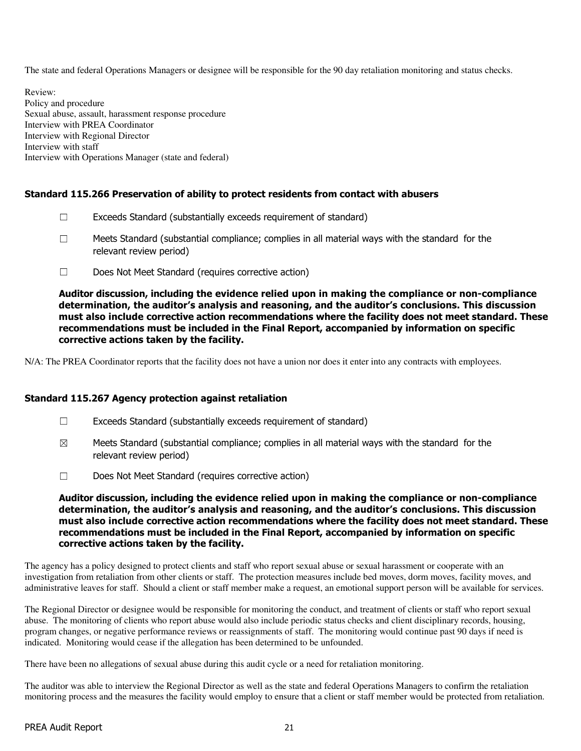The state and federal Operations Managers or designee will be responsible for the 90 day retaliation monitoring and status checks.

Review: Policy and procedure Sexual abuse, assault, harassment response procedure Interview with PREA Coordinator Interview with Regional Director Interview with staff Interview with Operations Manager (state and federal)

## Standard 115.266 Preservation of ability to protect residents from contact with abusers

- $\Box$  Exceeds Standard (substantially exceeds requirement of standard)
- $\Box$  Meets Standard (substantial compliance; complies in all material ways with the standard for the relevant review period)
- ☐ Does Not Meet Standard (requires corrective action)

Auditor discussion, including the evidence relied upon in making the compliance or non-compliance determination, the auditor's analysis and reasoning, and the auditor's conclusions. This discussion must also include corrective action recommendations where the facility does not meet standard. These recommendations must be included in the Final Report, accompanied by information on specific corrective actions taken by the facility.

N/A: The PREA Coordinator reports that the facility does not have a union nor does it enter into any contracts with employees.

#### Standard 115.267 Agency protection against retaliation

- ☐ Exceeds Standard (substantially exceeds requirement of standard)
- $\boxtimes$  Meets Standard (substantial compliance; complies in all material ways with the standard for the relevant review period)
- ☐ Does Not Meet Standard (requires corrective action)

#### Auditor discussion, including the evidence relied upon in making the compliance or non-compliance determination, the auditor's analysis and reasoning, and the auditor's conclusions. This discussion must also include corrective action recommendations where the facility does not meet standard. These recommendations must be included in the Final Report, accompanied by information on specific corrective actions taken by the facility.

The agency has a policy designed to protect clients and staff who report sexual abuse or sexual harassment or cooperate with an investigation from retaliation from other clients or staff. The protection measures include bed moves, dorm moves, facility moves, and administrative leaves for staff. Should a client or staff member make a request, an emotional support person will be available for services.

The Regional Director or designee would be responsible for monitoring the conduct, and treatment of clients or staff who report sexual abuse. The monitoring of clients who report abuse would also include periodic status checks and client disciplinary records, housing, program changes, or negative performance reviews or reassignments of staff. The monitoring would continue past 90 days if need is indicated. Monitoring would cease if the allegation has been determined to be unfounded.

There have been no allegations of sexual abuse during this audit cycle or a need for retaliation monitoring.

The auditor was able to interview the Regional Director as well as the state and federal Operations Managers to confirm the retaliation monitoring process and the measures the facility would employ to ensure that a client or staff member would be protected from retaliation.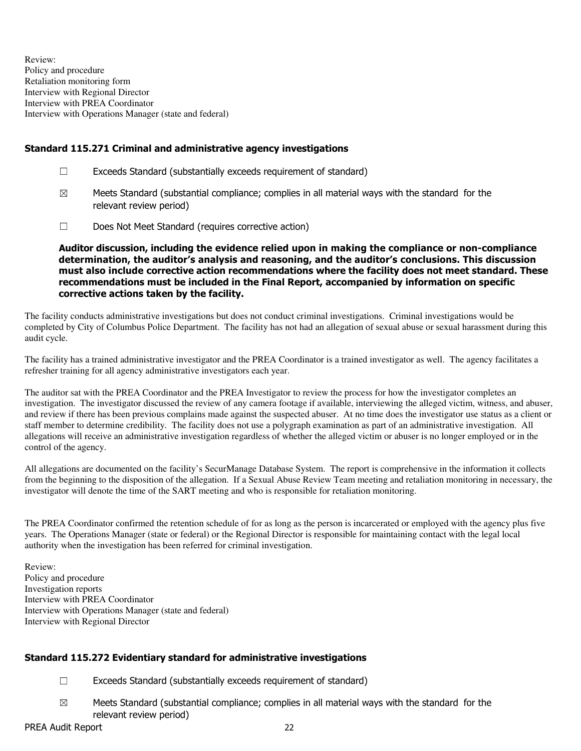Review: Policy and procedure Retaliation monitoring form Interview with Regional Director Interview with PREA Coordinator Interview with Operations Manager (state and federal)

## Standard 115.271 Criminal and administrative agency investigations

- ☐ Exceeds Standard (substantially exceeds requirement of standard)
- $\boxtimes$  Meets Standard (substantial compliance; complies in all material ways with the standard for the relevant review period)
- ☐ Does Not Meet Standard (requires corrective action)

Auditor discussion, including the evidence relied upon in making the compliance or non-compliance determination, the auditor's analysis and reasoning, and the auditor's conclusions. This discussion must also include corrective action recommendations where the facility does not meet standard. These recommendations must be included in the Final Report, accompanied by information on specific corrective actions taken by the facility.

The facility conducts administrative investigations but does not conduct criminal investigations. Criminal investigations would be completed by City of Columbus Police Department. The facility has not had an allegation of sexual abuse or sexual harassment during this audit cycle.

The facility has a trained administrative investigator and the PREA Coordinator is a trained investigator as well. The agency facilitates a refresher training for all agency administrative investigators each year.

The auditor sat with the PREA Coordinator and the PREA Investigator to review the process for how the investigator completes an investigation. The investigator discussed the review of any camera footage if available, interviewing the alleged victim, witness, and abuser, and review if there has been previous complains made against the suspected abuser. At no time does the investigator use status as a client or staff member to determine credibility. The facility does not use a polygraph examination as part of an administrative investigation. All allegations will receive an administrative investigation regardless of whether the alleged victim or abuser is no longer employed or in the control of the agency.

All allegations are documented on the facility's SecurManage Database System. The report is comprehensive in the information it collects from the beginning to the disposition of the allegation. If a Sexual Abuse Review Team meeting and retaliation monitoring in necessary, the investigator will denote the time of the SART meeting and who is responsible for retaliation monitoring.

The PREA Coordinator confirmed the retention schedule of for as long as the person is incarcerated or employed with the agency plus five years. The Operations Manager (state or federal) or the Regional Director is responsible for maintaining contact with the legal local authority when the investigation has been referred for criminal investigation.

Review: Policy and procedure Investigation reports Interview with PREA Coordinator Interview with Operations Manager (state and federal) Interview with Regional Director

## Standard 115.272 Evidentiary standard for administrative investigations

- $\Box$  Exceeds Standard (substantially exceeds requirement of standard)
- $\boxtimes$  Meets Standard (substantial compliance; complies in all material ways with the standard for the relevant review period)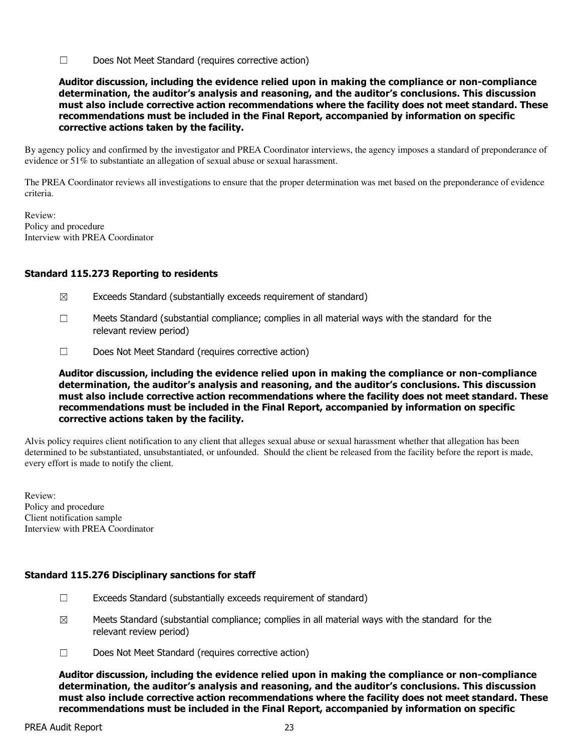☐ Does Not Meet Standard (requires corrective action)

Auditor discussion, including the evidence relied upon in making the compliance or non-compliance determination, the auditor's analysis and reasoning, and the auditor's conclusions. This discussion must also include corrective action recommendations where the facility does not meet standard. These recommendations must be included in the Final Report, accompanied by information on specific corrective actions taken by the facility.

By agency policy and confirmed by the investigator and PREA Coordinator interviews, the agency imposes a standard of preponderance of evidence or 51% to substantiate an allegation of sexual abuse or sexual harassment.

The PREA Coordinator reviews all investigations to ensure that the proper determination was met based on the preponderance of evidence criteria.

Review: Policy and procedure Interview with PREA Coordinator

## Standard 115.273 Reporting to residents

- $\boxtimes$  Exceeds Standard (substantially exceeds requirement of standard)
- ☐ Meets Standard (substantial compliance; complies in all material ways with the standard for the relevant review period)
- ☐ Does Not Meet Standard (requires corrective action)

Auditor discussion, including the evidence relied upon in making the compliance or non-compliance determination, the auditor's analysis and reasoning, and the auditor's conclusions. This discussion must also include corrective action recommendations where the facility does not meet standard. These recommendations must be included in the Final Report, accompanied by information on specific corrective actions taken by the facility.

Alvis policy requires client notification to any client that alleges sexual abuse or sexual harassment whether that allegation has been determined to be substantiated, unsubstantiated, or unfounded. Should the client be released from the facility before the report is made, every effort is made to notify the client.

Review: Policy and procedure Client notification sample Interview with PREA Coordinator

## Standard 115.276 Disciplinary sanctions for staff

- $\Box$  Exceeds Standard (substantially exceeds requirement of standard)
- $\boxtimes$  Meets Standard (substantial compliance; complies in all material ways with the standard for the relevant review period)
- ☐ Does Not Meet Standard (requires corrective action)

Auditor discussion, including the evidence relied upon in making the compliance or non-compliance determination, the auditor's analysis and reasoning, and the auditor's conclusions. This discussion must also include corrective action recommendations where the facility does not meet standard. These recommendations must be included in the Final Report, accompanied by information on specific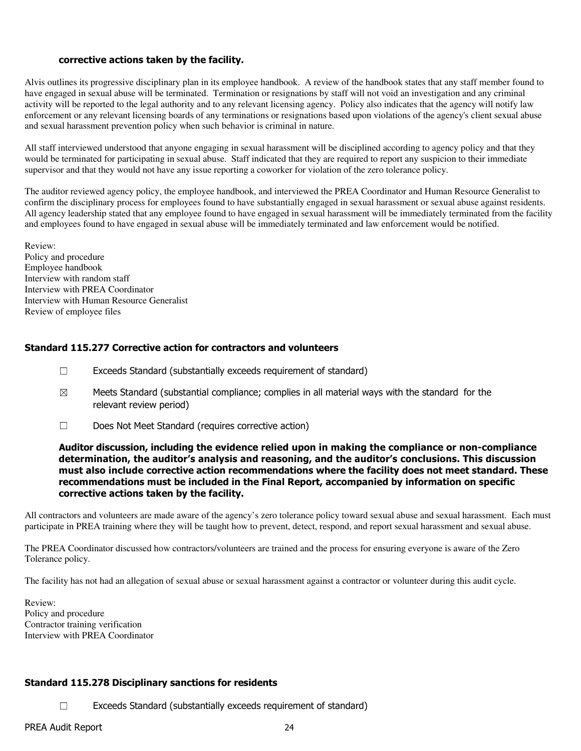#### corrective actions taken by the facility.

Alvis outlines its progressive disciplinary plan in its employee handbook. A review of the handbook states that any staff member found to have engaged in sexual abuse will be terminated. Termination or resignations by staff will not void an investigation and any criminal activity will be reported to the legal authority and to any relevant licensing agency. Policy also indicates that the agency will notify law enforcement or any relevant licensing boards of any terminations or resignations based upon violations of the agency's client sexual abuse and sexual harassment prevention policy when such behavior is criminal in nature.

All staff interviewed understood that anyone engaging in sexual harassment will be disciplined according to agency policy and that they would be terminated for participating in sexual abuse. Staff indicated that they are required to report any suspicion to their immediate supervisor and that they would not have any issue reporting a coworker for violation of the zero tolerance policy.

The auditor reviewed agency policy, the employee handbook, and interviewed the PREA Coordinator and Human Resource Generalist to confirm the disciplinary process for employees found to have substantially engaged in sexual harassment or sexual abuse against residents. All agency leadership stated that any employee found to have engaged in sexual harassment will be immediately terminated from the facility and employees found to have engaged in sexual abuse will be immediately terminated and law enforcement would be notified.

Review: Policy and procedure Employee handbook Interview with random staff Interview with PREA Coordinator Interview with Human Resource Generalist Review of employee files

#### Standard 115.277 Corrective action for contractors and volunteers

- ☐ Exceeds Standard (substantially exceeds requirement of standard)
- $\boxtimes$  Meets Standard (substantial compliance; complies in all material ways with the standard for the relevant review period)
- ☐ Does Not Meet Standard (requires corrective action)

#### Auditor discussion, including the evidence relied upon in making the compliance or non-compliance determination, the auditor's analysis and reasoning, and the auditor's conclusions. This discussion must also include corrective action recommendations where the facility does not meet standard. These recommendations must be included in the Final Report, accompanied by information on specific corrective actions taken by the facility.

All contractors and volunteers are made aware of the agency's zero tolerance policy toward sexual abuse and sexual harassment. Each must participate in PREA training where they will be taught how to prevent, detect, respond, and report sexual harassment and sexual abuse.

The PREA Coordinator discussed how contractors/volunteers are trained and the process for ensuring everyone is aware of the Zero Tolerance policy.

The facility has not had an allegation of sexual abuse or sexual harassment against a contractor or volunteer during this audit cycle.

Review: Policy and procedure Contractor training verification Interview with PREA Coordinator

## Standard 115.278 Disciplinary sanctions for residents

☐ Exceeds Standard (substantially exceeds requirement of standard)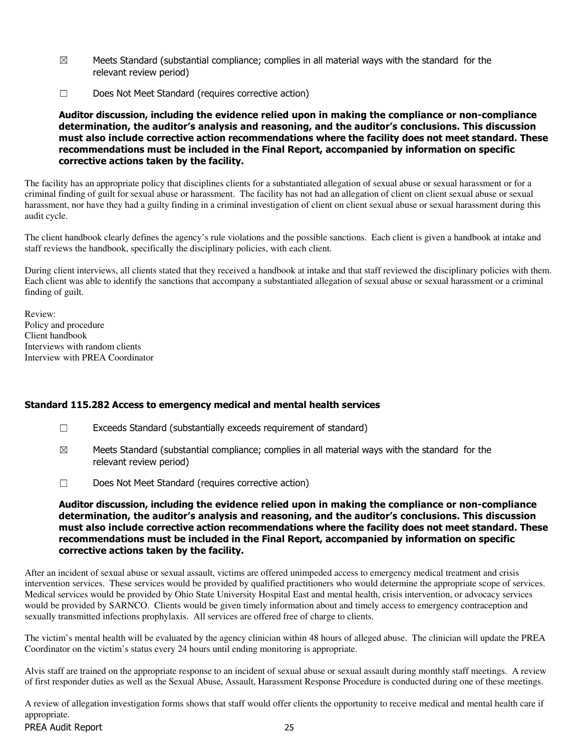- $\boxtimes$  Meets Standard (substantial compliance; complies in all material ways with the standard for the relevant review period)
- ☐ Does Not Meet Standard (requires corrective action)

Auditor discussion, including the evidence relied upon in making the compliance or non-compliance determination, the auditor's analysis and reasoning, and the auditor's conclusions. This discussion must also include corrective action recommendations where the facility does not meet standard. These recommendations must be included in the Final Report, accompanied by information on specific corrective actions taken by the facility.

The facility has an appropriate policy that disciplines clients for a substantiated allegation of sexual abuse or sexual harassment or for a criminal finding of guilt for sexual abuse or harassment. The facility has not had an allegation of client on client sexual abuse or sexual harassment, nor have they had a guilty finding in a criminal investigation of client on client sexual abuse or sexual harassment during this audit cycle.

The client handbook clearly defines the agency's rule violations and the possible sanctions. Each client is given a handbook at intake and staff reviews the handbook, specifically the disciplinary policies, with each client.

During client interviews, all clients stated that they received a handbook at intake and that staff reviewed the disciplinary policies with them. Each client was able to identify the sanctions that accompany a substantiated allegation of sexual abuse or sexual harassment or a criminal finding of guilt.

Review: Policy and procedure Client handbook Interviews with random clients Interview with PREA Coordinator

## Standard 115.282 Access to emergency medical and mental health services

- $\Box$  Exceeds Standard (substantially exceeds requirement of standard)
- $\boxtimes$  Meets Standard (substantial compliance; complies in all material ways with the standard for the relevant review period)
- ☐ Does Not Meet Standard (requires corrective action)

Auditor discussion, including the evidence relied upon in making the compliance or non-compliance determination, the auditor's analysis and reasoning, and the auditor's conclusions. This discussion must also include corrective action recommendations where the facility does not meet standard. These recommendations must be included in the Final Report, accompanied by information on specific corrective actions taken by the facility.

After an incident of sexual abuse or sexual assault, victims are offered unimpeded access to emergency medical treatment and crisis intervention services. These services would be provided by qualified practitioners who would determine the appropriate scope of services. Medical services would be provided by Ohio State University Hospital East and mental health, crisis intervention, or advocacy services would be provided by SARNCO. Clients would be given timely information about and timely access to emergency contraception and sexually transmitted infections prophylaxis. All services are offered free of charge to clients.

The victim's mental health will be evaluated by the agency clinician within 48 hours of alleged abuse. The clinician will update the PREA Coordinator on the victim's status every 24 hours until ending monitoring is appropriate.

Alvis staff are trained on the appropriate response to an incident of sexual abuse or sexual assault during monthly staff meetings. A review of first responder duties as well as the Sexual Abuse, Assault, Harassment Response Procedure is conducted during one of these meetings.

PREA Audit Report 25 A review of allegation investigation forms shows that staff would offer clients the opportunity to receive medical and mental health care if appropriate.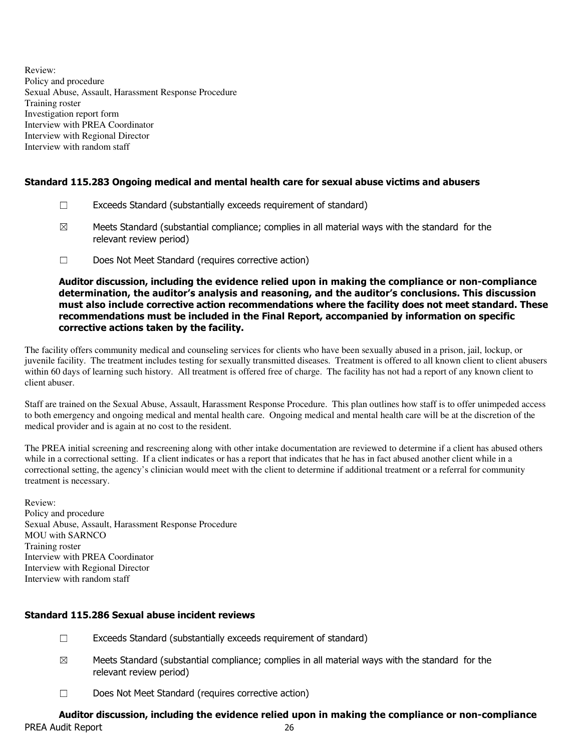Review: Policy and procedure Sexual Abuse, Assault, Harassment Response Procedure Training roster Investigation report form Interview with PREA Coordinator Interview with Regional Director Interview with random staff

## Standard 115.283 Ongoing medical and mental health care for sexual abuse victims and abusers

- ☐ Exceeds Standard (substantially exceeds requirement of standard)
- $\boxtimes$  Meets Standard (substantial compliance; complies in all material ways with the standard for the relevant review period)
- ☐ Does Not Meet Standard (requires corrective action)

Auditor discussion, including the evidence relied upon in making the compliance or non-compliance determination, the auditor's analysis and reasoning, and the auditor's conclusions. This discussion must also include corrective action recommendations where the facility does not meet standard. These recommendations must be included in the Final Report, accompanied by information on specific corrective actions taken by the facility.

The facility offers community medical and counseling services for clients who have been sexually abused in a prison, jail, lockup, or juvenile facility. The treatment includes testing for sexually transmitted diseases. Treatment is offered to all known client to client abusers within 60 days of learning such history. All treatment is offered free of charge. The facility has not had a report of any known client to client abuser.

Staff are trained on the Sexual Abuse, Assault, Harassment Response Procedure. This plan outlines how staff is to offer unimpeded access to both emergency and ongoing medical and mental health care. Ongoing medical and mental health care will be at the discretion of the medical provider and is again at no cost to the resident.

The PREA initial screening and rescreening along with other intake documentation are reviewed to determine if a client has abused others while in a correctional setting. If a client indicates or has a report that indicates that he has in fact abused another client while in a correctional setting, the agency's clinician would meet with the client to determine if additional treatment or a referral for community treatment is necessary.

Review: Policy and procedure Sexual Abuse, Assault, Harassment Response Procedure MOU with SARNCO Training roster Interview with PREA Coordinator Interview with Regional Director Interview with random staff

## Standard 115.286 Sexual abuse incident reviews

- ☐ Exceeds Standard (substantially exceeds requirement of standard)
- $\boxtimes$  Meets Standard (substantial compliance; complies in all material ways with the standard for the relevant review period)
- ☐ Does Not Meet Standard (requires corrective action)

#### PREA Audit Report 26 Auditor discussion, including the evidence relied upon in making the compliance or non-compliance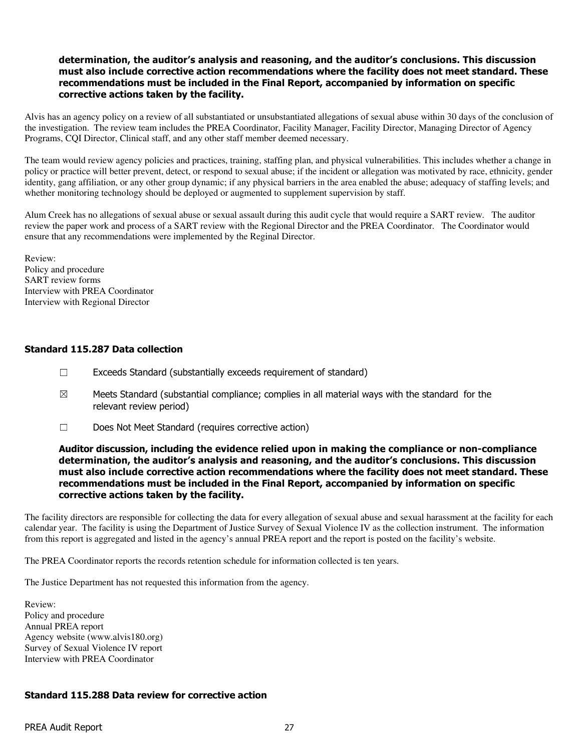## determination, the auditor's analysis and reasoning, and the auditor's conclusions. This discussion must also include corrective action recommendations where the facility does not meet standard. These recommendations must be included in the Final Report, accompanied by information on specific corrective actions taken by the facility.

Alvis has an agency policy on a review of all substantiated or unsubstantiated allegations of sexual abuse within 30 days of the conclusion of the investigation. The review team includes the PREA Coordinator, Facility Manager, Facility Director, Managing Director of Agency Programs, CQI Director, Clinical staff, and any other staff member deemed necessary.

The team would review agency policies and practices, training, staffing plan, and physical vulnerabilities. This includes whether a change in policy or practice will better prevent, detect, or respond to sexual abuse; if the incident or allegation was motivated by race, ethnicity, gender identity, gang affiliation, or any other group dynamic; if any physical barriers in the area enabled the abuse; adequacy of staffing levels; and whether monitoring technology should be deployed or augmented to supplement supervision by staff.

Alum Creek has no allegations of sexual abuse or sexual assault during this audit cycle that would require a SART review. The auditor review the paper work and process of a SART review with the Regional Director and the PREA Coordinator. The Coordinator would ensure that any recommendations were implemented by the Reginal Director.

Review: Policy and procedure SART review forms Interview with PREA Coordinator Interview with Regional Director

## Standard 115.287 Data collection

- ☐ Exceeds Standard (substantially exceeds requirement of standard)
- $\boxtimes$  Meets Standard (substantial compliance; complies in all material ways with the standard for the relevant review period)
- ☐ Does Not Meet Standard (requires corrective action)

#### Auditor discussion, including the evidence relied upon in making the compliance or non-compliance determination, the auditor's analysis and reasoning, and the auditor's conclusions. This discussion must also include corrective action recommendations where the facility does not meet standard. These recommendations must be included in the Final Report, accompanied by information on specific corrective actions taken by the facility.

The facility directors are responsible for collecting the data for every allegation of sexual abuse and sexual harassment at the facility for each calendar year. The facility is using the Department of Justice Survey of Sexual Violence IV as the collection instrument. The information from this report is aggregated and listed in the agency's annual PREA report and the report is posted on the facility's website.

The PREA Coordinator reports the records retention schedule for information collected is ten years.

The Justice Department has not requested this information from the agency.

Review: Policy and procedure Annual PREA report Agency website (www.alvis180.org) Survey of Sexual Violence IV report Interview with PREA Coordinator

## Standard 115.288 Data review for corrective action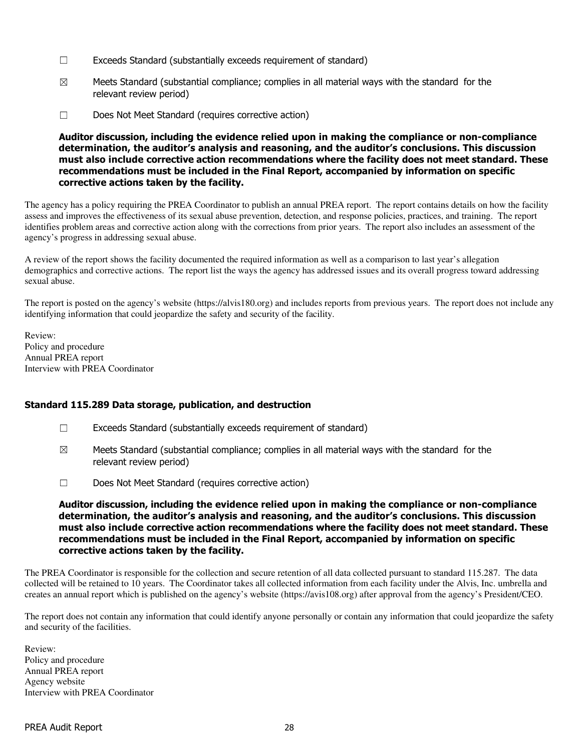- ☐ Exceeds Standard (substantially exceeds requirement of standard)
- $\boxtimes$  Meets Standard (substantial compliance; complies in all material ways with the standard for the relevant review period)
- ☐ Does Not Meet Standard (requires corrective action)

Auditor discussion, including the evidence relied upon in making the compliance or non-compliance determination, the auditor's analysis and reasoning, and the auditor's conclusions. This discussion must also include corrective action recommendations where the facility does not meet standard. These recommendations must be included in the Final Report, accompanied by information on specific corrective actions taken by the facility.

The agency has a policy requiring the PREA Coordinator to publish an annual PREA report. The report contains details on how the facility assess and improves the effectiveness of its sexual abuse prevention, detection, and response policies, practices, and training. The report identifies problem areas and corrective action along with the corrections from prior years. The report also includes an assessment of the agency's progress in addressing sexual abuse.

A review of the report shows the facility documented the required information as well as a comparison to last year's allegation demographics and corrective actions. The report list the ways the agency has addressed issues and its overall progress toward addressing sexual abuse.

The report is posted on the agency's website (https://alvis180.org) and includes reports from previous years. The report does not include any identifying information that could jeopardize the safety and security of the facility.

Review: Policy and procedure Annual PREA report Interview with PREA Coordinator

## Standard 115.289 Data storage, publication, and destruction

- ☐ Exceeds Standard (substantially exceeds requirement of standard)
- $\boxtimes$  Meets Standard (substantial compliance; complies in all material ways with the standard for the relevant review period)
- ☐ Does Not Meet Standard (requires corrective action)

Auditor discussion, including the evidence relied upon in making the compliance or non-compliance determination, the auditor's analysis and reasoning, and the auditor's conclusions. This discussion must also include corrective action recommendations where the facility does not meet standard. These recommendations must be included in the Final Report, accompanied by information on specific corrective actions taken by the facility.

The PREA Coordinator is responsible for the collection and secure retention of all data collected pursuant to standard 115.287. The data collected will be retained to 10 years. The Coordinator takes all collected information from each facility under the Alvis, Inc. umbrella and creates an annual report which is published on the agency's website (https://avis108.org) after approval from the agency's President/CEO.

The report does not contain any information that could identify anyone personally or contain any information that could jeopardize the safety and security of the facilities.

Review: Policy and procedure Annual PREA report Agency website Interview with PREA Coordinator